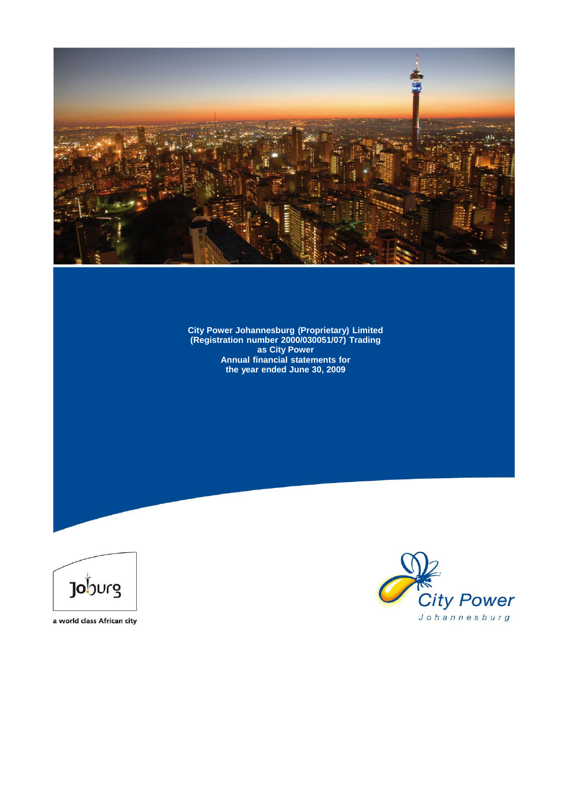

**City Power Johannesburg (Proprietary) Limited (Registration number 2000/030051/07) Trading as City Power Annual financial statements for the year ended June 30, 2009**



a world class African city

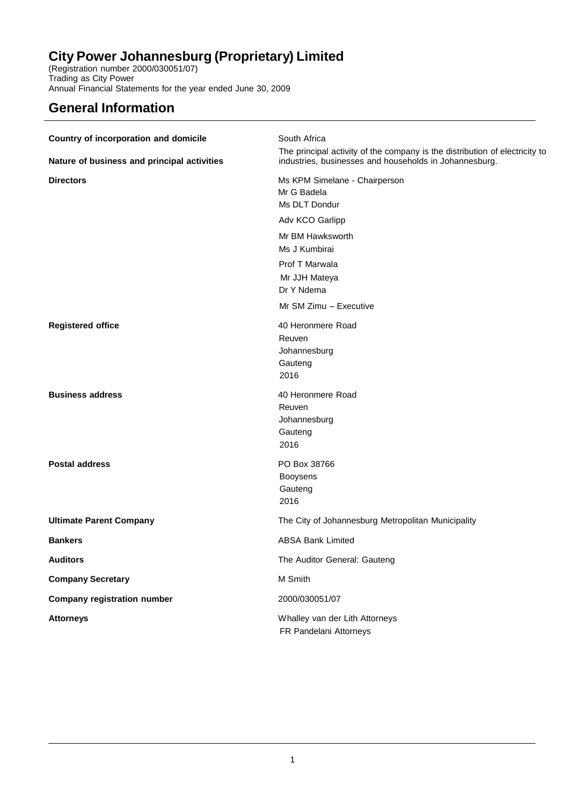(Registration number 2000/030051/07) Trading as City Power Annual Financial Statements for the year ended June 30, 2009

# **General Information**

| Country of incorporation and domicile       | South Africa                                                                                                                          |
|---------------------------------------------|---------------------------------------------------------------------------------------------------------------------------------------|
| Nature of business and principal activities | The principal activity of the company is the distribution of electricity to<br>industries, businesses and households in Johannesburg. |
| <b>Directors</b>                            | Ms KPM Simelane - Chairperson<br>Mr G Badela<br>Ms DLT Dondur                                                                         |
|                                             | Adv KCO Garlipp                                                                                                                       |
|                                             | Mr BM Hawksworth<br>Ms J Kumbirai                                                                                                     |
|                                             | Prof T Marwala<br>Mr JJH Mateya<br>Dr Y Ndema                                                                                         |
|                                             | Mr SM Zimu - Executive                                                                                                                |
| <b>Registered office</b>                    | 40 Heronmere Road<br>Reuven<br>Johannesburg<br>Gauteng<br>2016                                                                        |
| <b>Business address</b>                     | 40 Heronmere Road<br>Reuven<br>Johannesburg<br>Gauteng<br>2016                                                                        |
| <b>Postal address</b>                       | PO Box 38766<br><b>Booysens</b><br>Gauteng<br>2016                                                                                    |
| <b>Ultimate Parent Company</b>              | The City of Johannesburg Metropolitan Municipality                                                                                    |
| <b>Bankers</b>                              | <b>ABSA Bank Limited</b>                                                                                                              |
| <b>Auditors</b>                             | The Auditor General: Gauteng                                                                                                          |
| <b>Company Secretary</b>                    | M Smith                                                                                                                               |
| <b>Company registration number</b>          | 2000/030051/07                                                                                                                        |
| <b>Attorneys</b>                            | Whalley van der Lith Attorneys<br>FR Pandelani Attorneys                                                                              |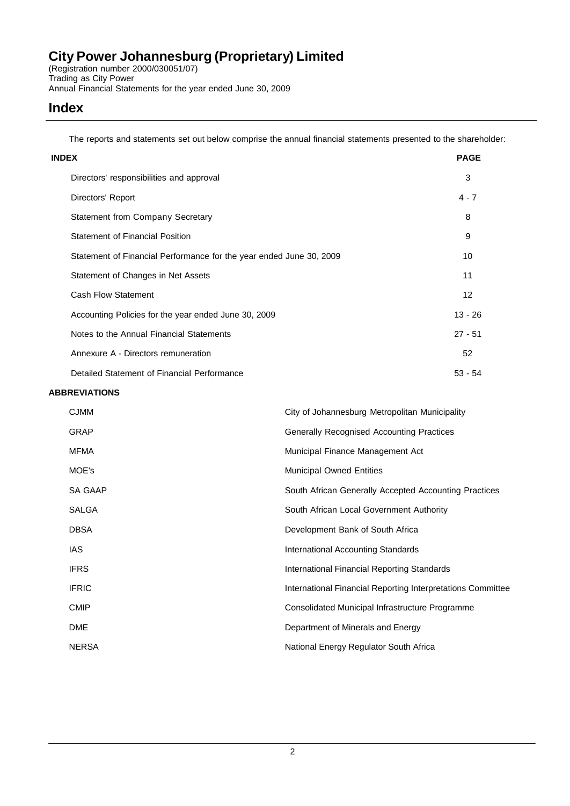(Registration number 2000/030051/07) Trading as City Power Annual Financial Statements for the year ended June 30, 2009

### **Index**

The reports and statements set out below comprise the annual financial statements presented to the shareholder:

| <b>INDEX</b>                                                        | <b>PAGE</b> |
|---------------------------------------------------------------------|-------------|
| Directors' responsibilities and approval                            | 3           |
| Directors' Report                                                   | $4 - 7$     |
| <b>Statement from Company Secretary</b>                             | 8           |
| <b>Statement of Financial Position</b>                              | 9           |
| Statement of Financial Performance for the year ended June 30, 2009 | 10          |
| Statement of Changes in Net Assets                                  | 11          |
| <b>Cash Flow Statement</b>                                          | 12          |
| Accounting Policies for the year ended June 30, 2009                | $13 - 26$   |
| Notes to the Annual Financial Statements                            | $27 - 51$   |
| Annexure A - Directors remuneration                                 | 52          |
| Detailed Statement of Financial Performance                         | $53 - 54$   |

### **ABBREVIATIONS**

| <b>CJMM</b>    | City of Johannesburg Metropolitan Municipality              |
|----------------|-------------------------------------------------------------|
| GRAP           | Generally Recognised Accounting Practices                   |
| MFMA           | Municipal Finance Management Act                            |
| MOE's          | <b>Municipal Owned Entities</b>                             |
| <b>SA GAAP</b> | South African Generally Accepted Accounting Practices       |
| SALGA          | South African Local Government Authority                    |
| <b>DBSA</b>    | Development Bank of South Africa                            |
| IAS.           | <b>International Accounting Standards</b>                   |
| <b>IFRS</b>    | International Financial Reporting Standards                 |
| <b>IFRIC</b>   | International Financial Reporting Interpretations Committee |
| <b>CMIP</b>    | Consolidated Municipal Infrastructure Programme             |
| <b>DME</b>     | Department of Minerals and Energy                           |
| <b>NERSA</b>   | National Energy Regulator South Africa                      |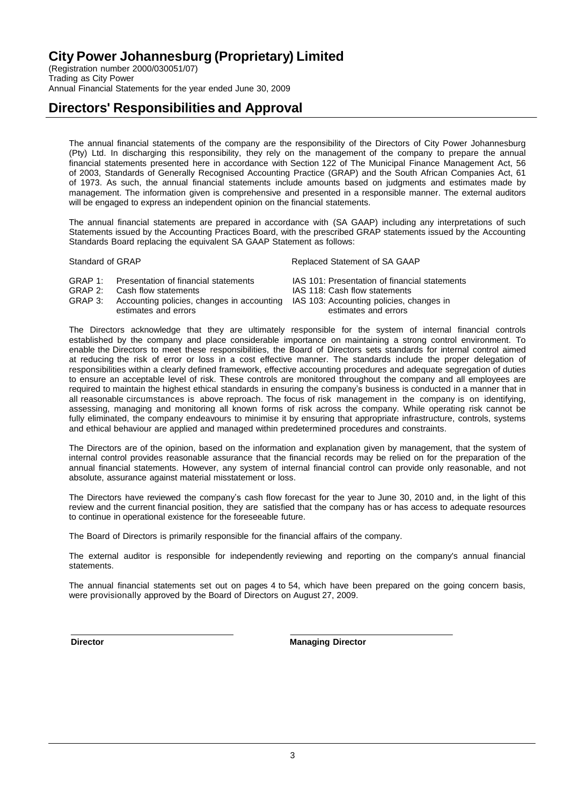(Registration number 2000/030051/07) Trading as City Power Annual Financial Statements for the year ended June 30, 2009

### **Directors' Responsibilities and Approval**

The annual financial statements of the company are the responsibility of the Directors of City Power Johannesburg (Pty) Ltd. In discharging this responsibility, they rely on the management of the company to prepare the annual financial statements presented here in accordance with Section 122 of The Municipal Finance Management Act, 56 of 2003, Standards of Generally Recognised Accounting Practice (GRAP) and the South African Companies Act, 61 of 1973. As such, the annual financial statements include amounts based on judgments and estimates made by management. The information given is comprehensive and presented in a responsible manner. The external auditors will be engaged to express an independent opinion on the financial statements.

The annual financial statements are prepared in accordance with (SA GAAP) including any interpretations of such Statements issued by the Accounting Practices Board, with the prescribed GRAP statements issued by the Accounting Standards Board replacing the equivalent SA GAAP Statement as follows:

Standard of GRAP **Replaced Statement of SA GAAP** Replaced Statement of SA GAAP

| GRAP 1: | Presentation of financial statements                                                        | IAS 101: Presentation of financial statements |
|---------|---------------------------------------------------------------------------------------------|-----------------------------------------------|
|         | GRAP 2: Cash flow statements                                                                | IAS 118: Cash flow statements                 |
|         | GRAP 3: Accounting policies, changes in accounting IAS 103: Accounting policies, changes in |                                               |
|         | estimates and errors                                                                        | estimates and errors                          |

The Directors acknowledge that they are ultimately responsible for the system of internal financial controls established by the company and place considerable importance on maintaining a strong control environment. To enable the Directors to meet these responsibilities, the Board of Directors sets standards for internal control aimed at reducing the risk of error or loss in a cost effective manner. The standards include the proper delegation of responsibilities within a clearly defined framework, effective accounting procedures and adequate segregation of duties to ensure an acceptable level of risk. These controls are monitored throughout the company and all employees are required to maintain the highest ethical standards in ensuring the company's business is conducted in a manner that in all reasonable circumstances is above reproach. The focus of risk management in the company is on identifying, assessing, managing and monitoring all known forms of risk across the company. While operating risk cannot be fully eliminated, the company endeavours to minimise it by ensuring that appropriate infrastructure, controls, systems and ethical behaviour are applied and managed within predetermined procedures and constraints.

The Directors are of the opinion, based on the information and explanation given by management, that the system of internal control provides reasonable assurance that the financial records may be relied on for the preparation of the annual financial statements. However, any system of internal financial control can provide only reasonable, and not absolute, assurance against material misstatement or loss.

The Directors have reviewed the company's cash flow forecast for the year to June 30, 2010 and, in the light of this review and the current financial position, they are satisfied that the company has or has access to adequate resources to continue in operational existence for the foreseeable future.

The Board of Directors is primarily responsible for the financial affairs of the company.

The external auditor is responsible for independently reviewing and reporting on the company's annual financial statements.

The annual financial statements set out on pages 4 to 54, which have been prepared on the going concern basis, were provisionally approved by the Board of Directors on August 27, 2009.

**Director Managing Director**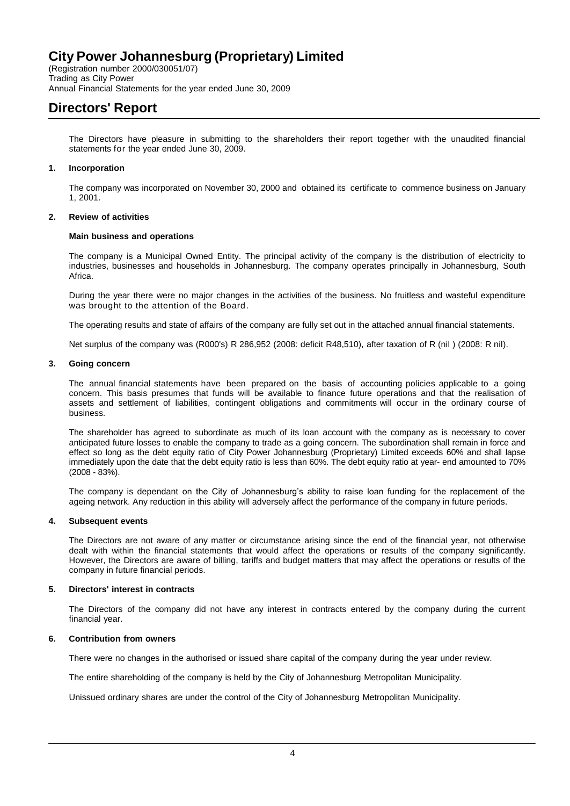(Registration number 2000/030051/07) Trading as City Power Annual Financial Statements for the year ended June 30, 2009

# **Directors' Report**

The Directors have pleasure in submitting to the shareholders their report together with the unaudited financial statements for the year ended June 30, 2009.

### **1. Incorporation**

The company was incorporated on November 30, 2000 and obtained its certificate to commence business on January 1, 2001.

### **2. Review of activities**

#### **Main business and operations**

The company is a Municipal Owned Entity. The principal activity of the company is the distribution of electricity to industries, businesses and households in Johannesburg. The company operates principally in Johannesburg, South Africa.

During the year there were no major changes in the activities of the business. No fruitless and wasteful expenditure was brought to the attention of the Board.

The operating results and state of affairs of the company are fully set out in the attached annual financial statements.

Net surplus of the company was (R000's) R 286,952 (2008: deficit R48,510), after taxation of R (nil ) (2008: R nil).

#### **3. Going concern**

The annual financial statements have been prepared on the basis of accounting policies applicable to a going concern. This basis presumes that funds will be available to finance future operations and that the realisation of assets and settlement of liabilities, contingent obligations and commitments will occur in the ordinary course of business.

The shareholder has agreed to subordinate as much of its loan account with the company as is necessary to cover anticipated future losses to enable the company to trade as a going concern. The subordination shall remain in force and effect so long as the debt equity ratio of City Power Johannesburg (Proprietary) Limited exceeds 60% and shall lapse immediately upon the date that the debt equity ratio is less than 60%. The debt equity ratio at year- end amounted to 70% (2008 - 83%).

The company is dependant on the City of Johannesburg's ability to raise loan funding for the replacement of the ageing network. Any reduction in this ability will adversely affect the performance of the company in future periods.

### **4. Subsequent events**

The Directors are not aware of any matter or circumstance arising since the end of the financial year, not otherwise dealt with within the financial statements that would affect the operations or results of the company significantly. However, the Directors are aware of billing, tariffs and budget matters that may affect the operations or results of the company in future financial periods.

### **5. Directors' interest in contracts**

The Directors of the company did not have any interest in contracts entered by the company during the current financial year.

### **6. Contribution from owners**

There were no changes in the authorised or issued share capital of the company during the year under review.

The entire shareholding of the company is held by the City of Johannesburg Metropolitan Municipality.

Unissued ordinary shares are under the control of the City of Johannesburg Metropolitan Municipality.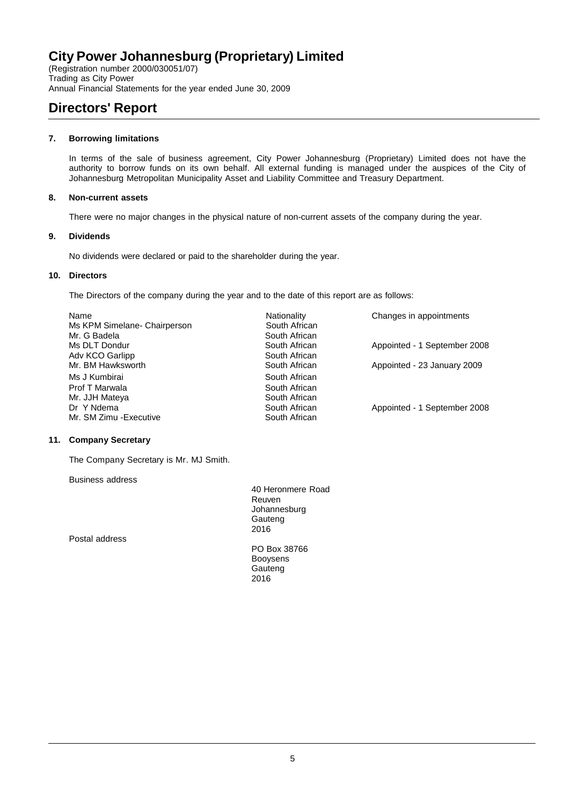(Registration number 2000/030051/07) Trading as City Power Annual Financial Statements for the year ended June 30, 2009

# **Directors' Report**

### **7. Borrowing limitations**

In terms of the sale of business agreement, City Power Johannesburg (Proprietary) Limited does not have the authority to borrow funds on its own behalf. All external funding is managed under the auspices of the City of Johannesburg Metropolitan Municipality Asset and Liability Committee and Treasury Department.

### **8. Non-current assets**

There were no major changes in the physical nature of non-current assets of the company during the year.

### **9. Dividends**

No dividends were declared or paid to the shareholder during the year.

### **10. Directors**

The Directors of the company during the year and to the date of this report are as follows:

| Name                         | Nationality   | Changes in appointments      |
|------------------------------|---------------|------------------------------|
| Ms KPM Simelane- Chairperson | South African |                              |
| Mr. G Badela                 | South African |                              |
| Ms DLT Dondur                | South African | Appointed - 1 September 2008 |
| Adv KCO Garlipp              | South African |                              |
| Mr. BM Hawksworth            | South African | Appointed - 23 January 2009  |
| Ms J Kumbirai                | South African |                              |
| Prof T Marwala               | South African |                              |
| Mr. JJH Mateya               | South African |                              |
| Dr Y Ndema                   | South African | Appointed - 1 September 2008 |
| Mr. SM Zimu - Executive      | South African |                              |

### **11. Company Secretary**

The Company Secretary is Mr. MJ Smith.

Business address

Postal address

40 Heronmere Road Reuven Johannesburg Gauteng 2016

PO Box 38766 Booysens **Gauteng** 2016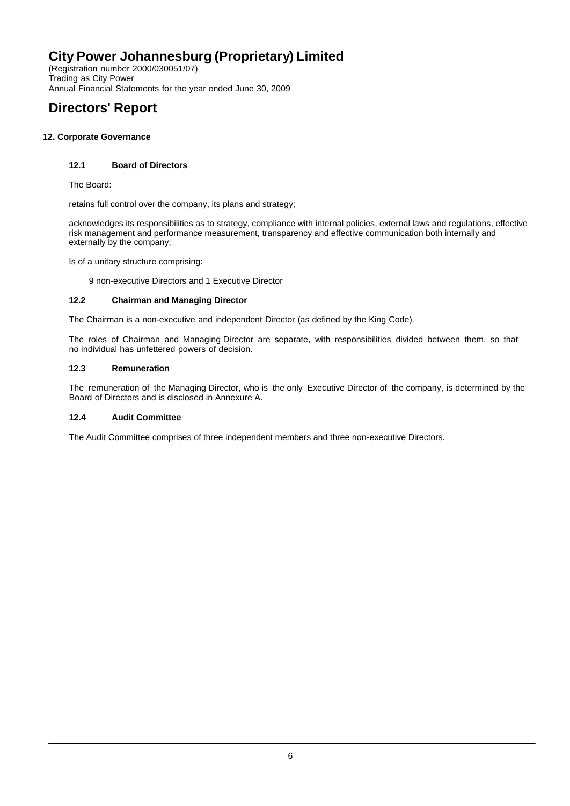(Registration number 2000/030051/07) Trading as City Power Annual Financial Statements for the year ended June 30, 2009

# **Directors' Report**

### **12. Corporate Governance**

### **12.1 Board of Directors**

The Board:

retains full control over the company, its plans and strategy;

acknowledges its responsibilities as to strategy, compliance with internal policies, external laws and regulations, effective risk management and performance measurement, transparency and effective communication both internally and externally by the company;

Is of a unitary structure comprising:

9 non-executive Directors and 1 Executive Director

### **12.2 Chairman and Managing Director**

The Chairman is a non-executive and independent Director (as defined by the King Code).

The roles of Chairman and Managing Director are separate, with responsibilities divided between them, so that no individual has unfettered powers of decision.

### **12.3 Remuneration**

The remuneration of the Managing Director, who is the only Executive Director of the company, is determined by the Board of Directors and is disclosed in Annexure A.

### **12.4 Audit Committee**

The Audit Committee comprises of three independent members and three non-executive Directors.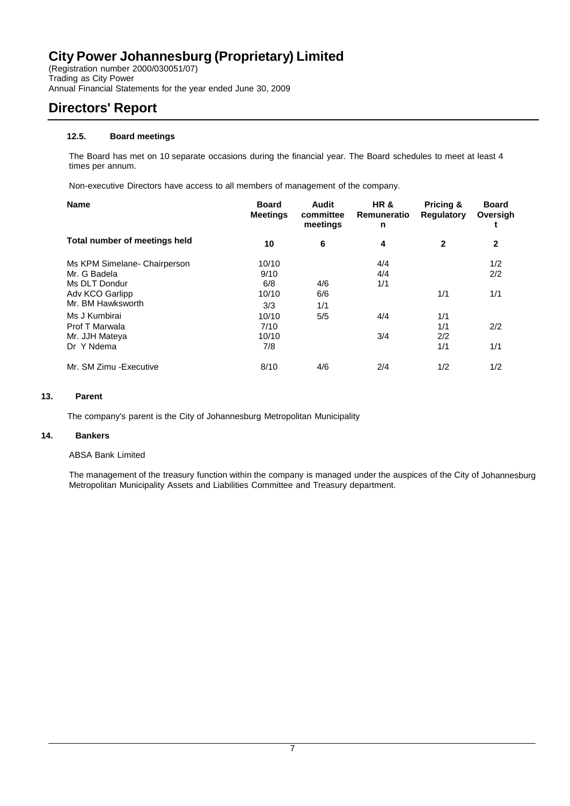(Registration number 2000/030051/07) Trading as City Power Annual Financial Statements for the year ended June 30, 2009

# **Directors' Report**

### **12.5. Board meetings**

The Board has met on 10 separate occasions during the financial year. The Board schedules to meet at least 4 times per annum.

Non-executive Directors have access to all members of management of the company.

| <b>Name</b>                                                                                                                                                              | <b>Board</b><br><b>Meetings</b>                                       | Audit<br>committee<br>meetings | HR &<br>Remuneratio<br>n        | Pricing &<br><b>Regulatory</b>  | <b>Board</b><br>Oversigh<br>t   |
|--------------------------------------------------------------------------------------------------------------------------------------------------------------------------|-----------------------------------------------------------------------|--------------------------------|---------------------------------|---------------------------------|---------------------------------|
| Total number of meetings held                                                                                                                                            | 10                                                                    | 6                              | 4                               | $\mathbf{2}$                    | $\mathbf{2}$                    |
| Ms KPM Simelane- Chairperson<br>Mr. G Badela<br>Ms DLT Dondur<br>Adv KCO Garlipp<br>Mr. BM Hawksworth<br>Ms J Kumbirai<br>Prof T Marwala<br>Mr. JJH Mateya<br>Dr Y Ndema | 10/10<br>9/10<br>6/8<br>10/10<br>3/3<br>10/10<br>7/10<br>10/10<br>7/8 | 4/6<br>6/6<br>1/1<br>5/5       | 4/4<br>4/4<br>1/1<br>4/4<br>3/4 | 1/1<br>1/1<br>1/1<br>2/2<br>1/1 | 1/2<br>2/2<br>1/1<br>2/2<br>1/1 |
| Mr. SM Zimu - Executive                                                                                                                                                  | 8/10                                                                  | 4/6                            | 2/4                             | 1/2                             | 1/2                             |

### **13. Parent**

The company's parent is the City of Johannesburg Metropolitan Municipality

### **14. Bankers**

### ABSA Bank Limited

The management of the treasury function within the company is managed under the auspices of the City of Johannesburg Metropolitan Municipality Assets and Liabilities Committee and Treasury department.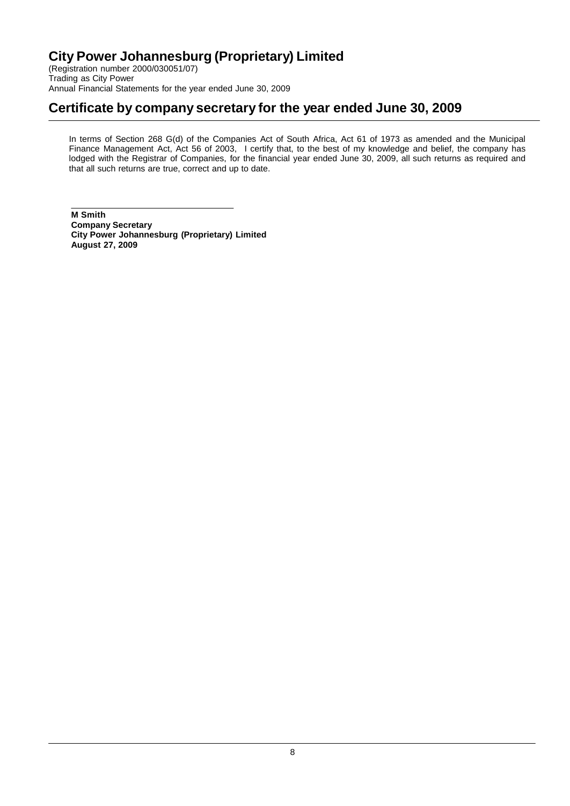(Registration number 2000/030051/07) Trading as City Power Annual Financial Statements for the year ended June 30, 2009

# **Certificate by company secretary for the year ended June 30, 2009**

In terms of Section 268 G(d) of the Companies Act of South Africa, Act 61 of 1973 as amended and the Municipal Finance Management Act, Act 56 of 2003, I certify that, to the best of my knowledge and belief, the company has lodged with the Registrar of Companies, for the financial year ended June 30, 2009, all such returns as required and that all such returns are true, correct and up to date.

**M Smith Company Secretary City Power Johannesburg (Proprietary) Limited August 27, 2009**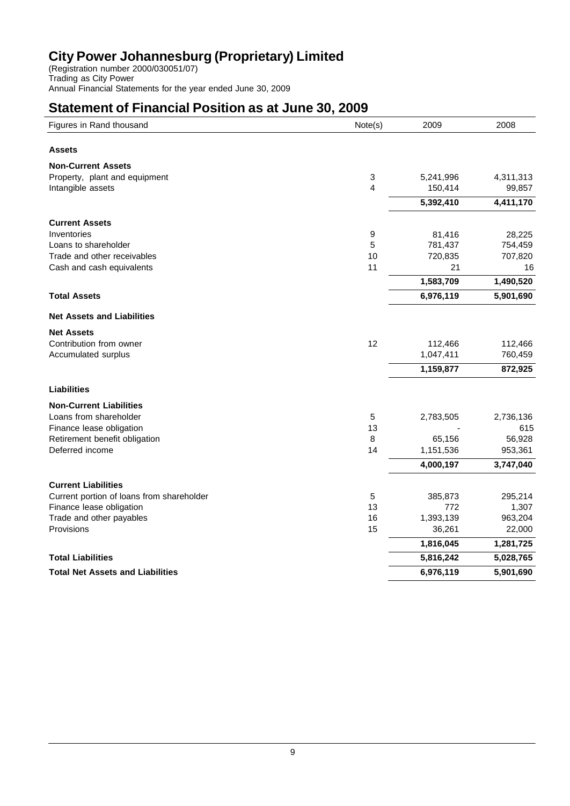(Registration number 2000/030051/07) Trading as City Power Annual Financial Statements for the year ended June 30, 2009

# **Statement of Financial Position as at June 30, 2009**

| Figures in Rand thousand                  | Note(s) | 2009      | 2008      |
|-------------------------------------------|---------|-----------|-----------|
| <b>Assets</b>                             |         |           |           |
| <b>Non-Current Assets</b>                 |         |           |           |
| Property, plant and equipment             | 3       | 5,241,996 | 4,311,313 |
| Intangible assets                         | 4       | 150,414   | 99,857    |
|                                           |         | 5,392,410 | 4,411,170 |
| <b>Current Assets</b>                     |         |           |           |
| Inventories                               | 9       | 81,416    | 28,225    |
| Loans to shareholder                      | 5       | 781,437   | 754,459   |
| Trade and other receivables               | 10      | 720,835   | 707,820   |
| Cash and cash equivalents                 | 11      | 21        | 16        |
|                                           |         | 1,583,709 | 1,490,520 |
| <b>Total Assets</b>                       |         | 6,976,119 | 5,901,690 |
| <b>Net Assets and Liabilities</b>         |         |           |           |
| <b>Net Assets</b>                         |         |           |           |
| Contribution from owner                   | 12      | 112,466   | 112,466   |
| Accumulated surplus                       |         | 1,047,411 | 760,459   |
|                                           |         | 1,159,877 | 872,925   |
| <b>Liabilities</b>                        |         |           |           |
| <b>Non-Current Liabilities</b>            |         |           |           |
| Loans from shareholder                    | 5       | 2,783,505 | 2,736,136 |
| Finance lease obligation                  | 13      |           | 615       |
| Retirement benefit obligation             | 8       | 65,156    | 56,928    |
| Deferred income                           | 14      | 1,151,536 | 953,361   |
|                                           |         | 4,000,197 | 3,747,040 |
| <b>Current Liabilities</b>                |         |           |           |
| Current portion of loans from shareholder | 5       | 385,873   | 295,214   |
| Finance lease obligation                  | 13      | 772       | 1,307     |
| Trade and other payables                  | 16      | 1,393,139 | 963,204   |
| Provisions                                | 15      | 36,261    | 22,000    |
|                                           |         | 1,816,045 | 1,281,725 |
| <b>Total Liabilities</b>                  |         | 5,816,242 | 5,028,765 |
| <b>Total Net Assets and Liabilities</b>   |         | 6,976,119 | 5,901,690 |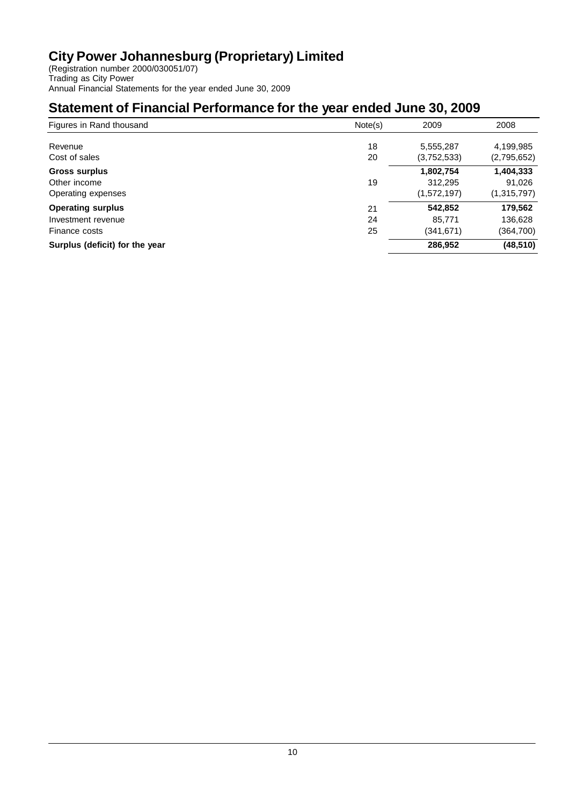(Registration number 2000/030051/07) Trading as City Power Annual Financial Statements for the year ended June 30, 2009

# **Statement of Financial Performance for the year ended June 30, 2009**

| Figures in Rand thousand       | Note(s) | 2009        | 2008        |
|--------------------------------|---------|-------------|-------------|
| Revenue                        | 18      | 5,555,287   | 4,199,985   |
| Cost of sales                  | 20      | (3,752,533) | (2,795,652) |
| <b>Gross surplus</b>           |         | 1,802,754   | 1,404,333   |
| Other income                   | 19      | 312,295     | 91,026      |
| Operating expenses             |         | (1,572,197) | (1,315,797) |
| <b>Operating surplus</b>       | 21      | 542,852     | 179,562     |
| Investment revenue             | 24      | 85,771      | 136,628     |
| Finance costs                  | 25      | (341,671)   | (364,700)   |
| Surplus (deficit) for the year |         | 286,952     | (48, 510)   |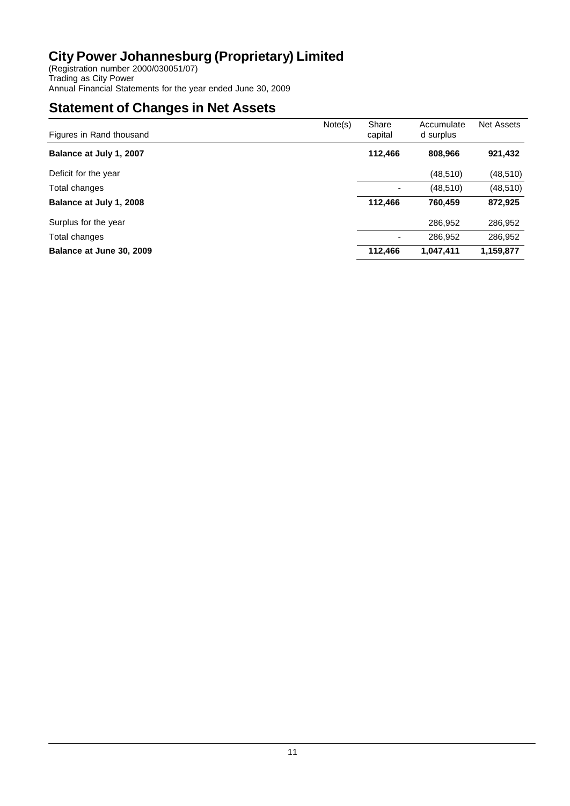(Registration number 2000/030051/07) Trading as City Power Annual Financial Statements for the year ended June 30, 2009

# **Statement of Changes in Net Assets**

| Figures in Rand thousand | Note(s) | Share<br>capital | Accumulate<br>d surplus | <b>Net Assets</b> |
|--------------------------|---------|------------------|-------------------------|-------------------|
| Balance at July 1, 2007  |         | 112,466          | 808,966                 | 921,432           |
| Deficit for the year     |         |                  | (48, 510)               | (48, 510)         |
| Total changes            |         |                  | (48, 510)               | (48, 510)         |
| Balance at July 1, 2008  |         | 112,466          | 760.459                 | 872,925           |
| Surplus for the year     |         |                  | 286,952                 | 286,952           |
| Total changes            |         |                  | 286,952                 | 286,952           |
| Balance at June 30, 2009 |         | 112,466          | 1,047,411               | 1,159,877         |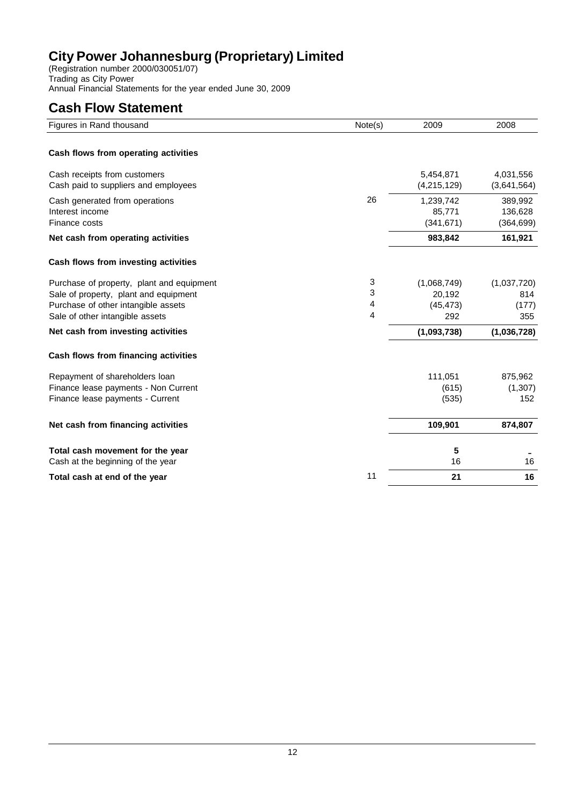(Registration number 2000/030051/07) Trading as City Power Annual Financial Statements for the year ended June 30, 2009

# **Cash Flow Statement**

| Figures in Rand thousand                  | Note(s) | 2009        | 2008        |
|-------------------------------------------|---------|-------------|-------------|
|                                           |         |             |             |
| Cash flows from operating activities      |         |             |             |
| Cash receipts from customers              |         | 5,454,871   | 4,031,556   |
| Cash paid to suppliers and employees      |         | (4,215,129) | (3,641,564) |
| Cash generated from operations            | 26      | 1,239,742   | 389,992     |
| Interest income                           |         | 85,771      | 136,628     |
| Finance costs                             |         | (341, 671)  | (364, 699)  |
| Net cash from operating activities        |         | 983,842     | 161,921     |
| Cash flows from investing activities      |         |             |             |
| Purchase of property, plant and equipment | 3       | (1,068,749) | (1,037,720) |
| Sale of property, plant and equipment     | 3       | 20,192      | 814         |
| Purchase of other intangible assets       | 4       | (45, 473)   | (177)       |
| Sale of other intangible assets           | 4       | 292         | 355         |
| Net cash from investing activities        |         | (1,093,738) | (1,036,728) |
| Cash flows from financing activities      |         |             |             |
| Repayment of shareholders loan            |         | 111,051     | 875,962     |
| Finance lease payments - Non Current      |         | (615)       | (1, 307)    |
| Finance lease payments - Current          |         | (535)       | 152         |
| Net cash from financing activities        |         | 109,901     | 874,807     |
| Total cash movement for the year          |         | 5           |             |
| Cash at the beginning of the year         |         | 16          | 16          |
| Total cash at end of the year             | 11      | 21          | 16          |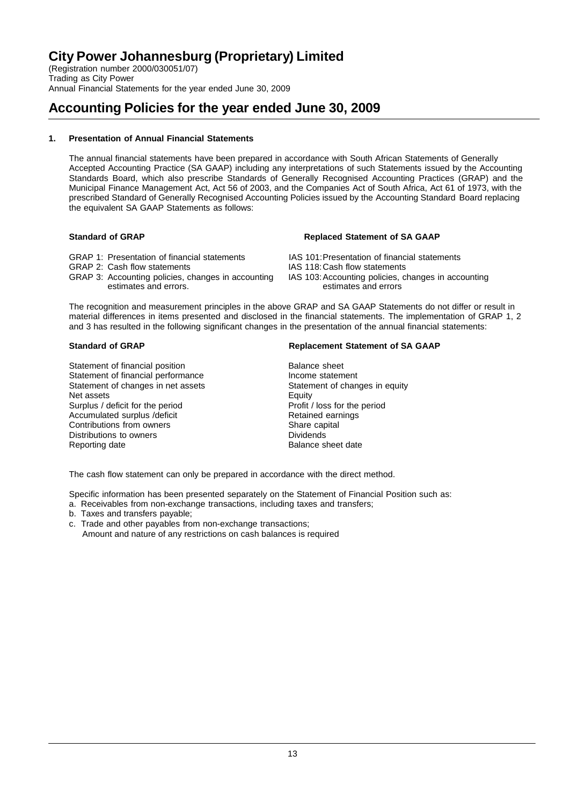(Registration number 2000/030051/07) Trading as City Power Annual Financial Statements for the year ended June 30, 2009

# **Accounting Policies for the year ended June 30, 2009**

### **1. Presentation of Annual Financial Statements**

The annual financial statements have been prepared in accordance with South African Statements of Generally Accepted Accounting Practice (SA GAAP) including any interpretations of such Statements issued by the Accounting Standards Board, which also prescribe Standards of Generally Recognised Accounting Practices (GRAP) and the Municipal Finance Management Act, Act 56 of 2003, and the Companies Act of South Africa, Act 61 of 1973, with the prescribed Standard of Generally Recognised Accounting Policies issued by the Accounting Standard Board replacing the equivalent SA GAAP Statements as follows:

- 
- GRAP 2: Cash flow statements<br>GRAP 3: Accounting policies, changes in accounting IAS 103: Accounting policies, changes in accounting GRAP 3: Accounting policies, changes in accounting IAS 103: Accounting policies, estimates and errors. estimates and errors.

### **Standard of GRAP Replaced Statement of SA GAAP**

- GRAP 1: Presentation of financial statements IAS 101:Presentation of financial statements<br>IAS 118:Cash flow statements IAS 118:Cash flow statements
	-
	-

The recognition and measurement principles in the above GRAP and SA GAAP Statements do not differ or result in material differences in items presented and disclosed in the financial statements. The implementation of GRAP 1, 2 and 3 has resulted in the following significant changes in the presentation of the annual financial statements:

Statement of financial position<br>
Statement of financial performance<br>
Statement of financial performance<br>
Balance statement Statement of financial performance<br>
Statement of changes in net assets<br>
Statement of changes in equity Statement of changes in net assets Statement of changes in et assets Statement of changes in equity Net assets Surplus / deficit for the period<br>
Accumulated surplus / deficit<br>
Profit / loss for the period<br>
Retained earnings Accumulated surplus /deficit and the contributions from owners<br>
Contributions from owners<br>
Retained agricultures Contributions from owners The Contributions of the Share capital Share capital Share capital Share Capital Share Capital Share Capital Share Capital Share Capital Share Capital Share Capital Share Capital Share Capital Sha Distributions to owners<br>Reporting date

### **Standard of GRAP Replacement Statement of SA GAAP**

Balance sheet date

The cash flow statement can only be prepared in accordance with the direct method.

Specific information has been presented separately on the Statement of Financial Position such as:

- a. Receivables from non-exchange transactions, including taxes and transfers;
- b. Taxes and transfers payable;
- c. Trade and other payables from non-exchange transactions;

Amount and nature of any restrictions on cash balances is required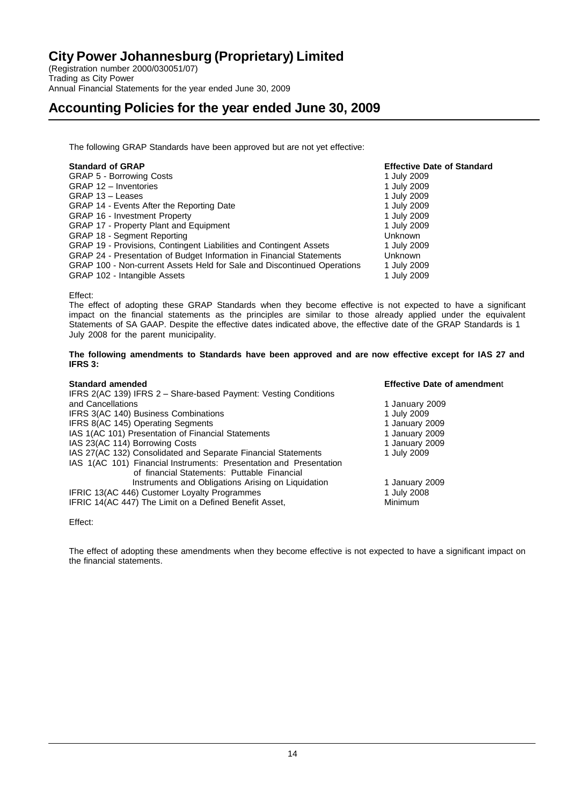(Registration number 2000/030051/07) Trading as City Power Annual Financial Statements for the year ended June 30, 2009

### **Accounting Policies for the year ended June 30, 2009**

The following GRAP Standards have been approved but are not yet effective:

| <b>Standard of GRAP</b>                                                 | <b>Effective Date of Standard</b> |
|-------------------------------------------------------------------------|-----------------------------------|
| GRAP 5 - Borrowing Costs                                                | 1 July 2009                       |
| GRAP 12 - Inventories                                                   | 1 July 2009                       |
| GRAP 13 - Leases                                                        | 1 July 2009                       |
| GRAP 14 - Events After the Reporting Date                               | 1 July 2009                       |
| <b>GRAP 16 - Investment Property</b>                                    | 1 July 2009                       |
| GRAP 17 - Property Plant and Equipment                                  | 1 July 2009                       |
| <b>GRAP 18 - Segment Reporting</b>                                      | <b>Unknown</b>                    |
| GRAP 19 - Provisions, Contingent Liabilities and Contingent Assets      | 1 July 2009                       |
| GRAP 24 - Presentation of Budget Information in Financial Statements    | <b>Unknown</b>                    |
| GRAP 100 - Non-current Assets Held for Sale and Discontinued Operations | 1 July 2009                       |
| GRAP 102 - Intangible Assets                                            | 1 July 2009                       |

Effect:

The effect of adopting these GRAP Standards when they become effective is not expected to have a significant impact on the financial statements as the principles are similar to those already applied under the equivalent Statements of SA GAAP. Despite the effective dates indicated above, the effective date of the GRAP Standards is 1 July 2008 for the parent municipality.

**The following amendments to Standards have been approved and are now effective except for IAS 27 and IFRS 3:**

| <b>Standard amended</b>                                            | <b>Effective Date of amendment</b> |
|--------------------------------------------------------------------|------------------------------------|
| IFRS 2(AC 139) IFRS 2 - Share-based Payment: Vesting Conditions    |                                    |
| and Cancellations                                                  | 1 January 2009                     |
| IFRS 3(AC 140) Business Combinations                               | 1 July 2009                        |
| IFRS 8(AC 145) Operating Segments                                  | 1 January 2009                     |
| IAS 1(AC 101) Presentation of Financial Statements                 | 1 January 2009                     |
| IAS 23(AC 114) Borrowing Costs                                     | 1 January 2009                     |
| IAS 27(AC 132) Consolidated and Separate Financial Statements      | 1 July 2009                        |
| IAS 1(AC 101) Financial Instruments: Presentation and Presentation |                                    |
| of financial Statements: Puttable Financial                        |                                    |
| Instruments and Obligations Arising on Liquidation                 | 1 January 2009                     |
| IFRIC 13(AC 446) Customer Loyalty Programmes                       | 1 July 2008                        |
| IFRIC 14(AC 447) The Limit on a Defined Benefit Asset,             | Minimum                            |

Effect:

The effect of adopting these amendments when they become effective is not expected to have a significant impact on the financial statements.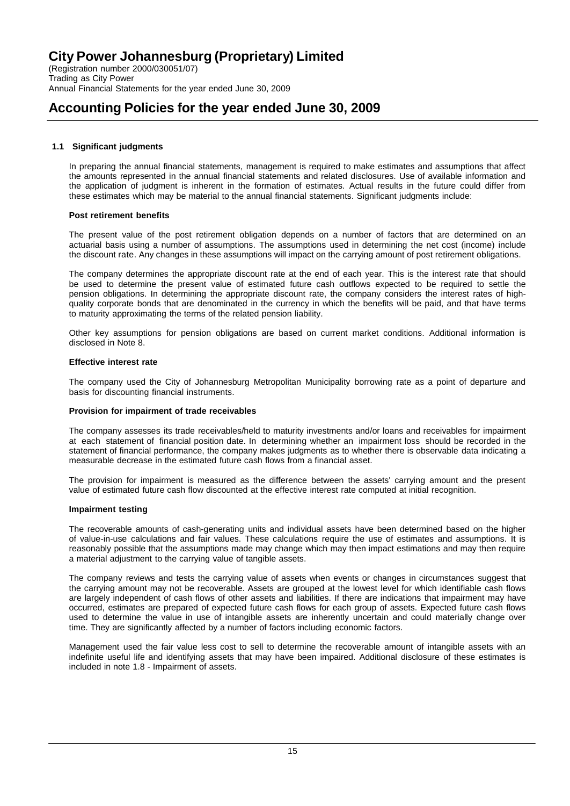(Registration number 2000/030051/07) Trading as City Power Annual Financial Statements for the year ended June 30, 2009

## **Accounting Policies for the year ended June 30, 2009**

### **1.1 Significant judgments**

In preparing the annual financial statements, management is required to make estimates and assumptions that affect the amounts represented in the annual financial statements and related disclosures. Use of available information and the application of judgment is inherent in the formation of estimates. Actual results in the future could differ from these estimates which may be material to the annual financial statements. Significant judgments include:

### **Post retirement benefits**

The present value of the post retirement obligation depends on a number of factors that are determined on an actuarial basis using a number of assumptions. The assumptions used in determining the net cost (income) include the discount rate. Any changes in these assumptions will impact on the carrying amount of post retirement obligations.

The company determines the appropriate discount rate at the end of each year. This is the interest rate that should be used to determine the present value of estimated future cash outflows expected to be required to settle the pension obligations. In determining the appropriate discount rate, the company considers the interest rates of highquality corporate bonds that are denominated in the currency in which the benefits will be paid, and that have terms to maturity approximating the terms of the related pension liability.

Other key assumptions for pension obligations are based on current market conditions. Additional information is disclosed in Note 8.

### **Effective interest rate**

The company used the City of Johannesburg Metropolitan Municipality borrowing rate as a point of departure and basis for discounting financial instruments.

### **Provision for impairment of trade receivables**

The company assesses its trade receivables/held to maturity investments and/or loans and receivables for impairment at each statement of financial position date. In determining whether an impairment loss should be recorded in the statement of financial performance, the company makes judgments as to whether there is observable data indicating a measurable decrease in the estimated future cash flows from a financial asset.

The provision for impairment is measured as the difference between the assets' carrying amount and the present value of estimated future cash flow discounted at the effective interest rate computed at initial recognition.

### **Impairment testing**

The recoverable amounts of cash-generating units and individual assets have been determined based on the higher of value-in-use calculations and fair values. These calculations require the use of estimates and assumptions. It is reasonably possible that the assumptions made may change which may then impact estimations and may then require a material adjustment to the carrying value of tangible assets.

The company reviews and tests the carrying value of assets when events or changes in circumstances suggest that the carrying amount may not be recoverable. Assets are grouped at the lowest level for which identifiable cash flows are largely independent of cash flows of other assets and liabilities. If there are indications that impairment may have occurred, estimates are prepared of expected future cash flows for each group of assets. Expected future cash flows used to determine the value in use of intangible assets are inherently uncertain and could materially change over time. They are significantly affected by a number of factors including economic factors.

Management used the fair value less cost to sell to determine the recoverable amount of intangible assets with an indefinite useful life and identifying assets that may have been impaired. Additional disclosure of these estimates is included in note 1.8 - Impairment of assets.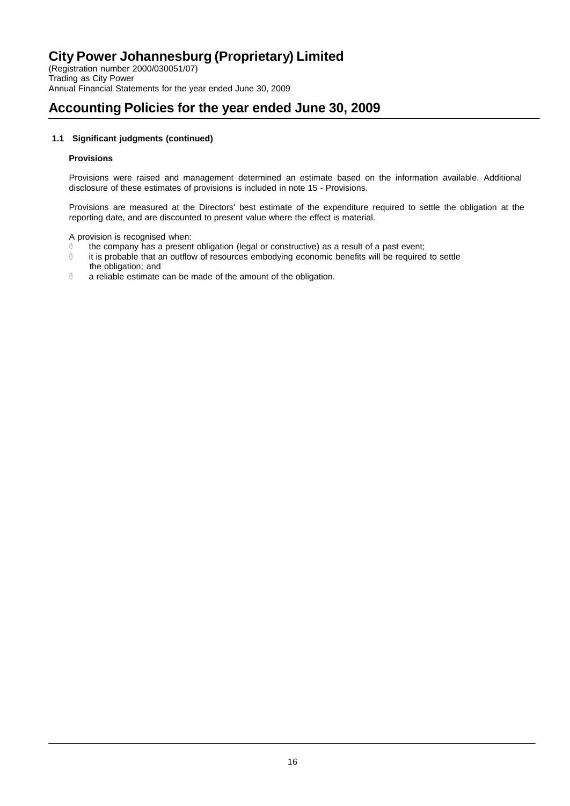(Registration number 2000/030051/07) Trading as City Power Annual Financial Statements for the year ended June 30, 2009

# **Accounting Policies for the year ended June 30, 2009**

### **1.1 Significant judgments (continued)**

### **Provisions**

Provisions were raised and management determined an estimate based on the information available. Additional disclosure of these estimates of provisions is included in note 15 - Provisions.

Provisions are measured at the Directors' best estimate of the expenditure required to settle the obligation at the reporting date, and are discounted to present value where the effect is material.

A provision is recognised when:

- the company has a present obligation (legal or constructive) as a result of a past event;<br>it is probable that an outflow of resources embodying economic benefits will be required
- it is probable that an outflow of resources embodying economic benefits will be required to settle the obligation; and
- a reliable estimate can be made of the amount of the obligation.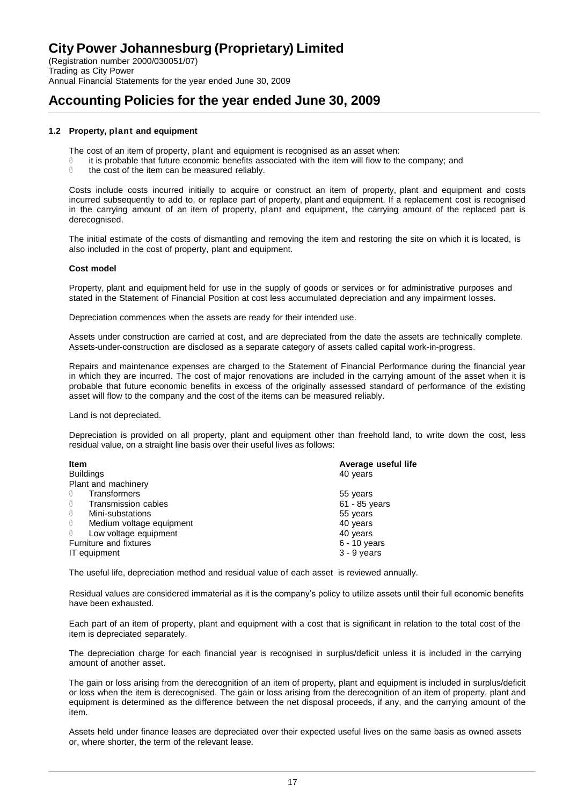### **Accounting Policies for the year ended June 30, 2009**

### **1.2 Property, plant and equipment**

The cost of an item of property, plant and equipment is recognised as an asset when:

- it is probable that future economic benefits associated with the item will flow to the company; and
- $0$  the cost of the item can be measured reliably.

Costs include costs incurred initially to acquire or construct an item of property, plant and equipment and costs incurred subsequently to add to, or replace part of property, plant and equipment. If a replacement cost is recognised in the carrying amount of an item of property, plant and equipment, the carrying amount of the replaced part is derecognised.

The initial estimate of the costs of dismantling and removing the item and restoring the site on which it is located, is also included in the cost of property, plant and equipment.

#### **Cost model**

Property, plant and equipment held for use in the supply of goods or services or for administrative purposes and stated in the Statement of Financial Position at cost less accumulated depreciation and any impairment losses.

Depreciation commences when the assets are ready for their intended use.

Assets under construction are carried at cost, and are depreciated from the date the assets are technically complete. Assets-under-construction are disclosed as a separate category of assets called capital work-in-progress.

Repairs and maintenance expenses are charged to the Statement of Financial Performance during the financial year in which they are incurred. The cost of major renovations are included in the carrying amount of the asset when it is probable that future economic benefits in excess of the originally assessed standard of performance of the existing asset will flow to the company and the cost of the items can be measured reliably.

Land is not depreciated.

Depreciation is provided on all property, plant and equipment other than freehold land, to write down the cost, less residual value, on a straight line basis over their useful lives as follows:

| <b>Item</b>                   | Average useful life |
|-------------------------------|---------------------|
| <b>Buildings</b>              | 40 years            |
| Plant and machinery           |                     |
| <b>Transformers</b><br>ᠿ      | 55 years            |
| Transmission cables<br>ᠿ      | $61 - 85$ years     |
| ⊕<br>Mini-substations         | 55 years            |
| ᠿ<br>Medium voltage equipment | 40 years            |
| ᠿ<br>Low voltage equipment    | 40 years            |
| Furniture and fixtures        | $6 - 10$ years      |
| IT equipment                  | $3 - 9$ years       |

The useful life, depreciation method and residual value of each asset is reviewed annually.

Residual values are considered immaterial as it is the company's policy to utilize assets until their full economic benefits have been exhausted.

Each part of an item of property, plant and equipment with a cost that is significant in relation to the total cost of the item is depreciated separately.

The depreciation charge for each financial year is recognised in surplus/deficit unless it is included in the carrying amount of another asset.

The gain or loss arising from the derecognition of an item of property, plant and equipment is included in surplus/deficit or loss when the item is derecognised. The gain or loss arising from the derecognition of an item of property, plant and equipment is determined as the difference between the net disposal proceeds, if any, and the carrying amount of the item.

Assets held under finance leases are depreciated over their expected useful lives on the same basis as owned assets or, where shorter, the term of the relevant lease.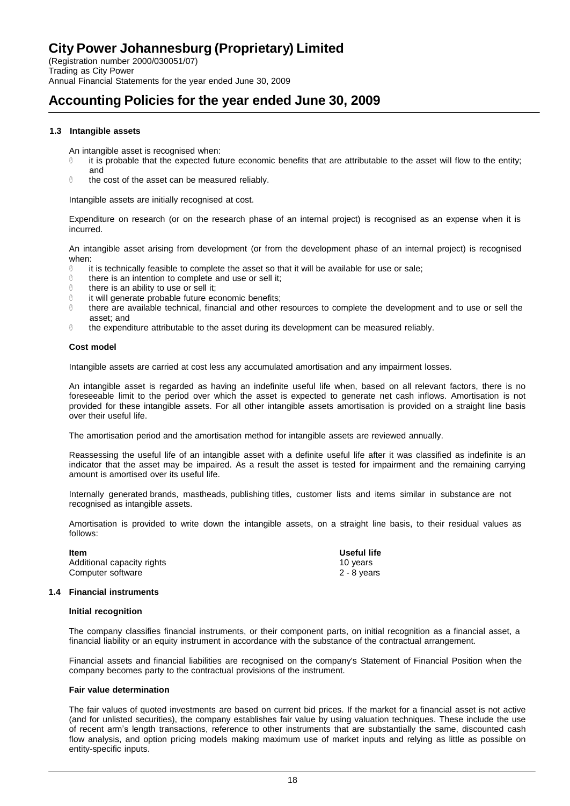### **Accounting Policies for the year ended June 30, 2009**

### **1.3 Intangible assets**

An intangible asset is recognised when:

- it is probable that the expected future economic benefits that are attributable to the asset will flow to the entity; and
- $0$  the cost of the asset can be measured reliably.

Intangible assets are initially recognised at cost.

Expenditure on research (or on the research phase of an internal project) is recognised as an expense when it is incurred.

An intangible asset arising from development (or from the development phase of an internal project) is recognised when:

- $\%$  it is technically feasible to complete the asset so that it will be available for use or sale;<br> $\%$  there is an intention to complete and use or sell it:
- there is an intention to complete and use or sell it;
- $\theta$  there is an ability to use or sell it;<br> $\theta$  it will generate probable future eq
- $\%$  it will generate probable future economic benefits;<br> $\%$  there are available technical financial and other r
- there are available technical, financial and other resources to complete the development and to use or sell the asset; and
- the expenditure attributable to the asset during its development can be measured reliably.

### **Cost model**

Intangible assets are carried at cost less any accumulated amortisation and any impairment losses.

An intangible asset is regarded as having an indefinite useful life when, based on all relevant factors, there is no foreseeable limit to the period over which the asset is expected to generate net cash inflows. Amortisation is not provided for these intangible assets. For all other intangible assets amortisation is provided on a straight line basis over their useful life.

The amortisation period and the amortisation method for intangible assets are reviewed annually.

Reassessing the useful life of an intangible asset with a definite useful life after it was classified as indefinite is an indicator that the asset may be impaired. As a result the asset is tested for impairment and the remaining carrying amount is amortised over its useful life.

Internally generated brands, mastheads, publishing titles, customer lists and items similar in substance are not recognised as intangible assets.

Amortisation is provided to write down the intangible assets, on a straight line basis, to their residual values as follows:

**Item Useful life**  Additional capacity rights 10 years 10 years Computer software 2 - 8 years 2 - 8 years

#### **1.4 Financial instruments**

#### **Initial recognition**

The company classifies financial instruments, or their component parts, on initial recognition as a financial asset, a financial liability or an equity instrument in accordance with the substance of the contractual arrangement.

Financial assets and financial liabilities are recognised on the company's Statement of Financial Position when the company becomes party to the contractual provisions of the instrument.

#### **Fair value determination**

The fair values of quoted investments are based on current bid prices. If the market for a financial asset is not active (and for unlisted securities), the company establishes fair value by using valuation techniques. These include the use of recent arm's length transactions, reference to other instruments that are substantially the same, discounted cash flow analysis, and option pricing models making maximum use of market inputs and relying as little as possible on entity-specific inputs.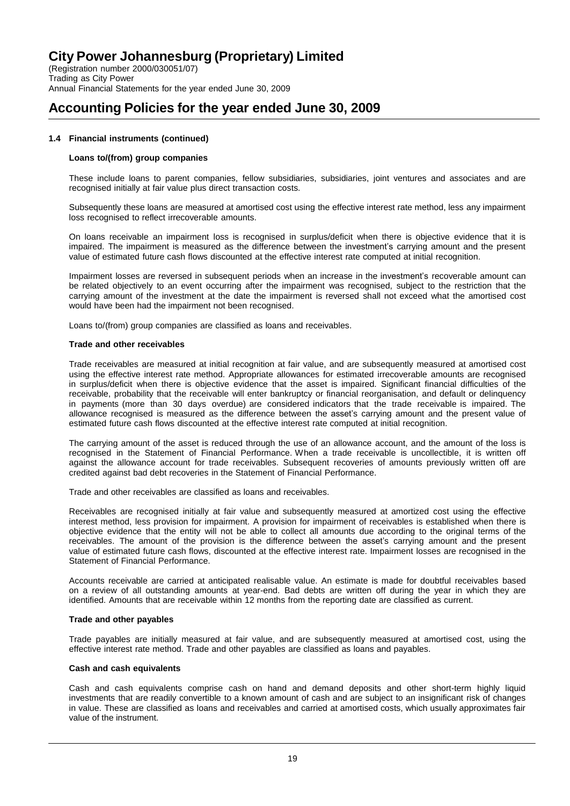(Registration number 2000/030051/07) Trading as City Power Annual Financial Statements for the year ended June 30, 2009

### **Accounting Policies for the year ended June 30, 2009**

### **1.4 Financial instruments (continued)**

#### **Loans to/(from) group companies**

These include loans to parent companies, fellow subsidiaries, subsidiaries, joint ventures and associates and are recognised initially at fair value plus direct transaction costs.

Subsequently these loans are measured at amortised cost using the effective interest rate method, less any impairment loss recognised to reflect irrecoverable amounts.

On loans receivable an impairment loss is recognised in surplus/deficit when there is objective evidence that it is impaired. The impairment is measured as the difference between the investment's carrying amount and the present value of estimated future cash flows discounted at the effective interest rate computed at initial recognition.

Impairment losses are reversed in subsequent periods when an increase in the investment's recoverable amount can be related objectively to an event occurring after the impairment was recognised, subject to the restriction that the carrying amount of the investment at the date the impairment is reversed shall not exceed what the amortised cost would have been had the impairment not been recognised.

Loans to/(from) group companies are classified as loans and receivables.

#### **Trade and other receivables**

Trade receivables are measured at initial recognition at fair value, and are subsequently measured at amortised cost using the effective interest rate method. Appropriate allowances for estimated irrecoverable amounts are recognised in surplus/deficit when there is objective evidence that the asset is impaired. Significant financial difficulties of the receivable, probability that the receivable will enter bankruptcy or financial reorganisation, and default or delinquency in payments (more than 30 days overdue) are considered indicators that the trade receivable is impaired. The allowance recognised is measured as the difference between the asset's carrying amount and the present value of estimated future cash flows discounted at the effective interest rate computed at initial recognition.

The carrying amount of the asset is reduced through the use of an allowance account, and the amount of the loss is recognised in the Statement of Financial Performance. When a trade receivable is uncollectible, it is written off against the allowance account for trade receivables. Subsequent recoveries of amounts previously written off are credited against bad debt recoveries in the Statement of Financial Performance.

Trade and other receivables are classified as loans and receivables.

Receivables are recognised initially at fair value and subsequently measured at amortized cost using the effective interest method, less provision for impairment. A provision for impairment of receivables is established when there is objective evidence that the entity will not be able to collect all amounts due according to the original terms of the receivables. The amount of the provision is the difference between the asset's carrying amount and the present value of estimated future cash flows, discounted at the effective interest rate. Impairment losses are recognised in the Statement of Financial Performance.

Accounts receivable are carried at anticipated realisable value. An estimate is made for doubtful receivables based on a review of all outstanding amounts at year-end. Bad debts are written off during the year in which they are identified. Amounts that are receivable within 12 months from the reporting date are classified as current.

#### **Trade and other payables**

Trade payables are initially measured at fair value, and are subsequently measured at amortised cost, using the effective interest rate method. Trade and other payables are classified as loans and payables.

#### **Cash and cash equivalents**

Cash and cash equivalents comprise cash on hand and demand deposits and other short-term highly liquid investments that are readily convertible to a known amount of cash and are subject to an insignificant risk of changes in value. These are classified as loans and receivables and carried at amortised costs, which usually approximates fair value of the instrument.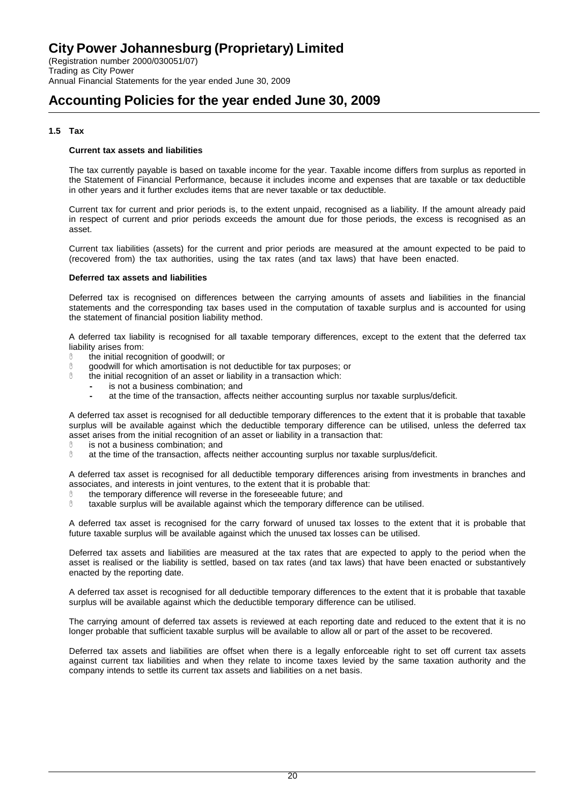(Registration number 2000/030051/07) Trading as City Power Annual Financial Statements for the year ended June 30, 2009

### **Accounting Policies for the year ended June 30, 2009**

### **1.5 Tax**

### **Current tax assets and liabilities**

The tax currently payable is based on taxable income for the year. Taxable income differs from surplus as reported in the Statement of Financial Performance, because it includes income and expenses that are taxable or tax deductible in other years and it further excludes items that are never taxable or tax deductible.

Current tax for current and prior periods is, to the extent unpaid, recognised as a liability. If the amount already paid in respect of current and prior periods exceeds the amount due for those periods, the excess is recognised as an asset.

Current tax liabilities (assets) for the current and prior periods are measured at the amount expected to be paid to (recovered from) the tax authorities, using the tax rates (and tax laws) that have been enacted.

#### **Deferred tax assets and liabilities**

Deferred tax is recognised on differences between the carrying amounts of assets and liabilities in the financial statements and the corresponding tax bases used in the computation of taxable surplus and is accounted for using the statement of financial position liability method.

A deferred tax liability is recognised for all taxable temporary differences, except to the extent that the deferred tax liability arises from:

- the initial recognition of goodwill; or
- **Ource of the synon monticity of the synon moderation** is not deductible for tax purposes; or
- $\%$  the initial recognition of an asset or liability in a transaction which:
	- **-** is not a business combination; and
	- **-** at the time of the transaction, affects neither accounting surplus nor taxable surplus/deficit.

A deferred tax asset is recognised for all deductible temporary differences to the extent that it is probable that taxable surplus will be available against which the deductible temporary difference can be utilised, unless the deferred tax asset arises from the initial recognition of an asset or liability in a transaction that:

- $\%$  is not a business combination; and  $\%$  at the time of the transaction affect
- at the time of the transaction, affects neither accounting surplus nor taxable surplus/deficit.

A deferred tax asset is recognised for all deductible temporary differences arising from investments in branches and associates, and interests in joint ventures, to the extent that it is probable that:

- $\degree$  the temporary difference will reverse in the foreseeable future; and taxable surplus will be available against which the temporary differ
- taxable surplus will be available against which the temporary difference can be utilised.

A deferred tax asset is recognised for the carry forward of unused tax losses to the extent that it is probable that future taxable surplus will be available against which the unused tax losses can be utilised.

Deferred tax assets and liabilities are measured at the tax rates that are expected to apply to the period when the asset is realised or the liability is settled, based on tax rates (and tax laws) that have been enacted or substantively enacted by the reporting date.

A deferred tax asset is recognised for all deductible temporary differences to the extent that it is probable that taxable surplus will be available against which the deductible temporary difference can be utilised.

The carrying amount of deferred tax assets is reviewed at each reporting date and reduced to the extent that it is no longer probable that sufficient taxable surplus will be available to allow all or part of the asset to be recovered.

Deferred tax assets and liabilities are offset when there is a legally enforceable right to set off current tax assets against current tax liabilities and when they relate to income taxes levied by the same taxation authority and the company intends to settle its current tax assets and liabilities on a net basis.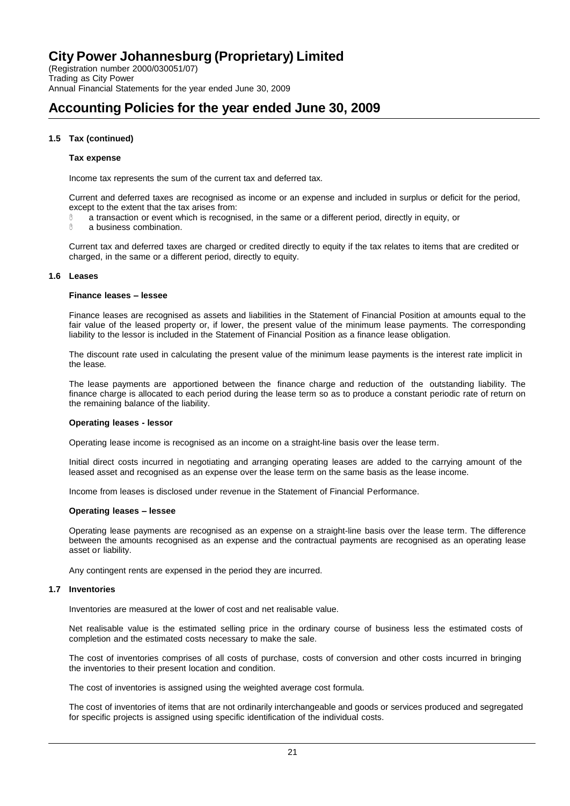(Registration number 2000/030051/07) Trading as City Power Annual Financial Statements for the year ended June 30, 2009

# **Accounting Policies for the year ended June 30, 2009**

### **1.5 Tax (continued)**

#### **Tax expense**

Income tax represents the sum of the current tax and deferred tax.

Current and deferred taxes are recognised as income or an expense and included in surplus or deficit for the period, except to the extent that the tax arises from:

- $\degree$  a transaction or event which is recognised, in the same or a different period, directly in equity, or a business combination.
- a business combination.

Current tax and deferred taxes are charged or credited directly to equity if the tax relates to items that are credited or charged, in the same or a different period, directly to equity.

#### **1.6 Leases**

#### **Finance leases – lessee**

Finance leases are recognised as assets and liabilities in the Statement of Financial Position at amounts equal to the fair value of the leased property or, if lower, the present value of the minimum lease payments. The corresponding liability to the lessor is included in the Statement of Financial Position as a finance lease obligation.

The discount rate used in calculating the present value of the minimum lease payments is the interest rate implicit in the lease.

The lease payments are apportioned between the finance charge and reduction of the outstanding liability. The finance charge is allocated to each period during the lease term so as to produce a constant periodic rate of return on the remaining balance of the liability.

### **Operating leases - lessor**

Operating lease income is recognised as an income on a straight-line basis over the lease term.

Initial direct costs incurred in negotiating and arranging operating leases are added to the carrying amount of the leased asset and recognised as an expense over the lease term on the same basis as the lease income.

Income from leases is disclosed under revenue in the Statement of Financial Performance.

#### **Operating leases – lessee**

Operating lease payments are recognised as an expense on a straight-line basis over the lease term. The difference between the amounts recognised as an expense and the contractual payments are recognised as an operating lease asset or liability.

Any contingent rents are expensed in the period they are incurred.

#### **1.7 Inventories**

Inventories are measured at the lower of cost and net realisable value.

Net realisable value is the estimated selling price in the ordinary course of business less the estimated costs of completion and the estimated costs necessary to make the sale.

The cost of inventories comprises of all costs of purchase, costs of conversion and other costs incurred in bringing the inventories to their present location and condition.

The cost of inventories is assigned using the weighted average cost formula.

The cost of inventories of items that are not ordinarily interchangeable and goods or services produced and segregated for specific projects is assigned using specific identification of the individual costs.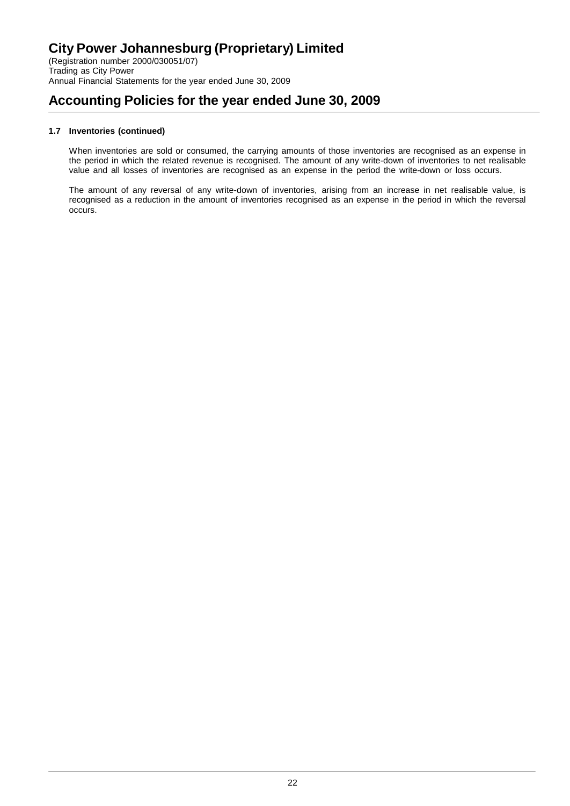### **Accounting Policies for the year ended June 30, 2009**

### **1.7 Inventories (continued)**

When inventories are sold or consumed, the carrying amounts of those inventories are recognised as an expense in the period in which the related revenue is recognised. The amount of any write-down of inventories to net realisable value and all losses of inventories are recognised as an expense in the period the write-down or loss occurs.

The amount of any reversal of any write-down of inventories, arising from an increase in net realisable value, is recognised as a reduction in the amount of inventories recognised as an expense in the period in which the reversal occurs.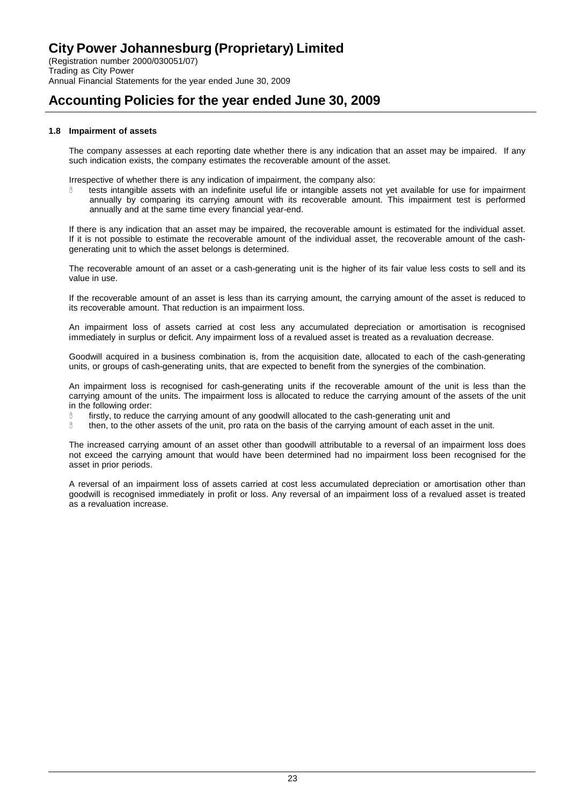### **Accounting Policies for the year ended June 30, 2009**

### **1.8 Impairment of assets**

The company assesses at each reporting date whether there is any indication that an asset may be impaired. If any such indication exists, the company estimates the recoverable amount of the asset.

Irrespective of whether there is any indication of impairment, the company also:

 tests intangible assets with an indefinite useful life or intangible assets not yet available for use for impairment annually by comparing its carrying amount with its recoverable amount. This impairment test is performed annually and at the same time every financial year-end.

If there is any indication that an asset may be impaired, the recoverable amount is estimated for the individual asset. If it is not possible to estimate the recoverable amount of the individual asset, the recoverable amount of the cashgenerating unit to which the asset belongs is determined.

The recoverable amount of an asset or a cash-generating unit is the higher of its fair value less costs to sell and its value in use.

If the recoverable amount of an asset is less than its carrying amount, the carrying amount of the asset is reduced to its recoverable amount. That reduction is an impairment loss.

An impairment loss of assets carried at cost less any accumulated depreciation or amortisation is recognised immediately in surplus or deficit. Any impairment loss of a revalued asset is treated as a revaluation decrease.

Goodwill acquired in a business combination is, from the acquisition date, allocated to each of the cash-generating units, or groups of cash-generating units, that are expected to benefit from the synergies of the combination.

An impairment loss is recognised for cash-generating units if the recoverable amount of the unit is less than the carrying amount of the units. The impairment loss is allocated to reduce the carrying amount of the assets of the unit in the following order:

- $\%$  firstly, to reduce the carrying amount of any goodwill allocated to the cash-generating unit and then, to the other assets of the unit, pro rata on the basis of the carrying amount of each asset
- then, to the other assets of the unit, pro rata on the basis of the carrying amount of each asset in the unit.

The increased carrying amount of an asset other than goodwill attributable to a reversal of an impairment loss does not exceed the carrying amount that would have been determined had no impairment loss been recognised for the asset in prior periods.

A reversal of an impairment loss of assets carried at cost less accumulated depreciation or amortisation other than goodwill is recognised immediately in profit or loss. Any reversal of an impairment loss of a revalued asset is treated as a revaluation increase.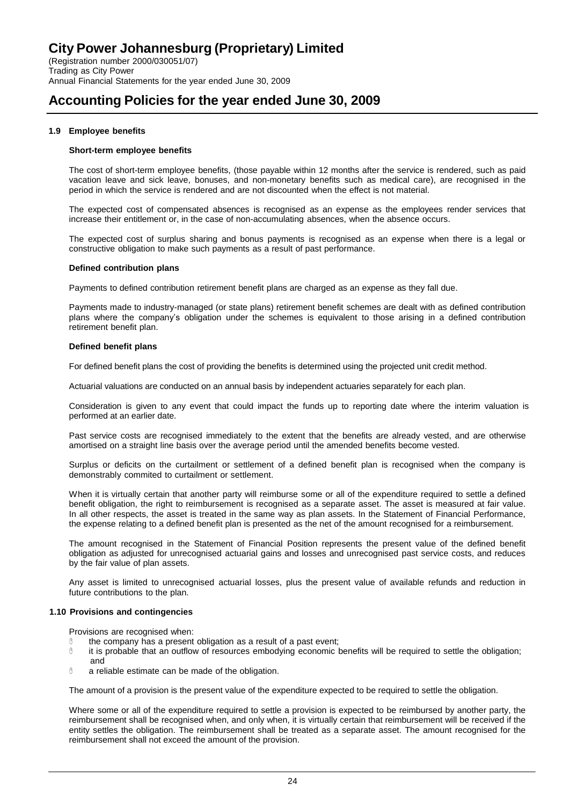### **Accounting Policies for the year ended June 30, 2009**

### **1.9 Employee benefits**

### **Short-term employee benefits**

The cost of short-term employee benefits, (those payable within 12 months after the service is rendered, such as paid vacation leave and sick leave, bonuses, and non-monetary benefits such as medical care), are recognised in the period in which the service is rendered and are not discounted when the effect is not material.

The expected cost of compensated absences is recognised as an expense as the employees render services that increase their entitlement or, in the case of non-accumulating absences, when the absence occurs.

The expected cost of surplus sharing and bonus payments is recognised as an expense when there is a legal or constructive obligation to make such payments as a result of past performance.

### **Defined contribution plans**

Payments to defined contribution retirement benefit plans are charged as an expense as they fall due.

Payments made to industry-managed (or state plans) retirement benefit schemes are dealt with as defined contribution plans where the company's obligation under the schemes is equivalent to those arising in a defined contribution retirement benefit plan.

#### **Defined benefit plans**

For defined benefit plans the cost of providing the benefits is determined using the projected unit credit method.

Actuarial valuations are conducted on an annual basis by independent actuaries separately for each plan.

Consideration is given to any event that could impact the funds up to reporting date where the interim valuation is performed at an earlier date.

Past service costs are recognised immediately to the extent that the benefits are already vested, and are otherwise amortised on a straight line basis over the average period until the amended benefits become vested.

Surplus or deficits on the curtailment or settlement of a defined benefit plan is recognised when the company is demonstrably commited to curtailment or settlement.

When it is virtually certain that another party will reimburse some or all of the expenditure required to settle a defined benefit obligation, the right to reimbursement is recognised as a separate asset. The asset is measured at fair value. In all other respects, the asset is treated in the same way as plan assets. In the Statement of Financial Performance, the expense relating to a defined benefit plan is presented as the net of the amount recognised for a reimbursement.

The amount recognised in the Statement of Financial Position represents the present value of the defined benefit obligation as adjusted for unrecognised actuarial gains and losses and unrecognised past service costs, and reduces by the fair value of plan assets.

Any asset is limited to unrecognised actuarial losses, plus the present value of available refunds and reduction in future contributions to the plan.

### **1.10 Provisions and contingencies**

Provisions are recognised when:

- $0$  the company has a present obligation as a result of a past event;
- it is probable that an outflow of resources embodying economic benefits will be required to settle the obligation; and
- a reliable estimate can be made of the obligation.

The amount of a provision is the present value of the expenditure expected to be required to settle the obligation.

Where some or all of the expenditure required to settle a provision is expected to be reimbursed by another party, the reimbursement shall be recognised when, and only when, it is virtually certain that reimbursement will be received if the entity settles the obligation. The reimbursement shall be treated as a separate asset. The amount recognised for the reimbursement shall not exceed the amount of the provision.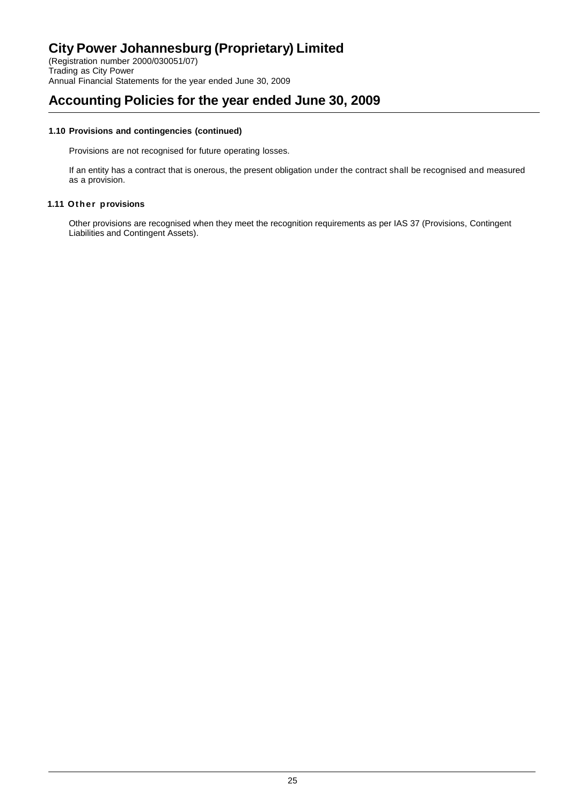(Registration number 2000/030051/07) Trading as City Power Annual Financial Statements for the year ended June 30, 2009

### **Accounting Policies for the year ended June 30, 2009**

### **1.10 Provisions and contingencies (continued)**

Provisions are not recognised for future operating losses.

If an entity has a contract that is onerous, the present obligation under the contract shall be recognised and measured as a provision.

### **1.11 Other provisions**

Other provisions are recognised when they meet the recognition requirements as per IAS 37 (Provisions, Contingent Liabilities and Contingent Assets).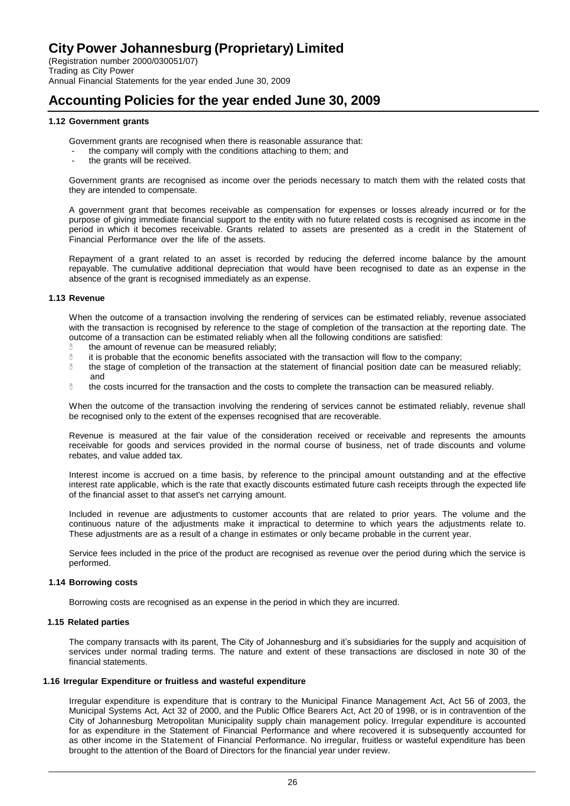(Registration number 2000/030051/07) Trading as City Power Annual Financial Statements for the year ended June 30, 2009

### **Accounting Policies for the year ended June 30, 2009**

### **1.12 Government grants**

Government grants are recognised when there is reasonable assurance that:

- the company will comply with the conditions attaching to them; and
- the grants will be received.

Government grants are recognised as income over the periods necessary to match them with the related costs that they are intended to compensate.

A government grant that becomes receivable as compensation for expenses or losses already incurred or for the purpose of giving immediate financial support to the entity with no future related costs is recognised as income in the period in which it becomes receivable. Grants related to assets are presented as a credit in the Statement of Financial Performance over the life of the assets.

Repayment of a grant related to an asset is recorded by reducing the deferred income balance by the amount repayable. The cumulative additional depreciation that would have been recognised to date as an expense in the absence of the grant is recognised immediately as an expense.

#### **1.13 Revenue**

When the outcome of a transaction involving the rendering of services can be estimated reliably, revenue associated with the transaction is recognised by reference to the stage of completion of the transaction at the reporting date. The outcome of a transaction can be estimated reliably when all the following conditions are satisfied:

- $0$  the amount of revenue can be measured reliably;
- $\%$  it is probable that the economic benefits associated with the transaction will flow to the company;<br> $\%$  the stage of completion of the transaction at the statement of financial position date can be mea
- the stage of completion of the transaction at the statement of financial position date can be measured reliably; and
- $0$  the costs incurred for the transaction and the costs to complete the transaction can be measured reliably.

When the outcome of the transaction involving the rendering of services cannot be estimated reliably, revenue shall be recognised only to the extent of the expenses recognised that are recoverable.

Revenue is measured at the fair value of the consideration received or receivable and represents the amounts receivable for goods and services provided in the normal course of business, net of trade discounts and volume rebates, and value added tax.

Interest income is accrued on a time basis, by reference to the principal amount outstanding and at the effective interest rate applicable, which is the rate that exactly discounts estimated future cash receipts through the expected life of the financial asset to that asset's net carrying amount.

Included in revenue are adjustments to customer accounts that are related to prior years. The volume and the continuous nature of the adjustments make it impractical to determine to which years the adjustments relate to. These adjustments are as a result of a change in estimates or only became probable in the current year.

Service fees included in the price of the product are recognised as revenue over the period during which the service is performed.

#### **1.14 Borrowing costs**

Borrowing costs are recognised as an expense in the period in which they are incurred.

#### **1.15 Related parties**

The company transacts with its parent, The City of Johannesburg and it's subsidiaries for the supply and acquisition of services under normal trading terms. The nature and extent of these transactions are disclosed in note 30 of the financial statements.

#### **1.16 Irregular Expenditure or fruitless and wasteful expenditure**

Irregular expenditure is expenditure that is contrary to the Municipal Finance Management Act, Act 56 of 2003, the Municipal Systems Act, Act 32 of 2000, and the Public Office Bearers Act, Act 20 of 1998, or is in contravention of the City of Johannesburg Metropolitan Municipality supply chain management policy. Irregular expenditure is accounted for as expenditure in the Statement of Financial Performance and where recovered it is subsequently accounted for as other income in the Statement of Financial Performance. No irregular, fruitless or wasteful expenditure has been brought to the attention of the Board of Directors for the financial year under review.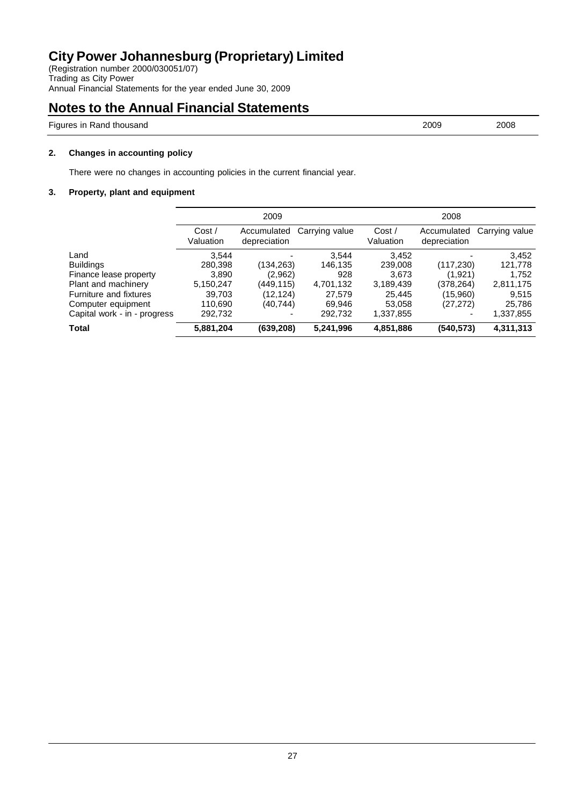(Registration number 2000/030051/07) Trading as City Power Annual Financial Statements for the year ended June 30, 2009

### **Notes to the Annual Financial Statements**

Figures in Rand thousand 2008 2009 2008

**2. Changes in accounting policy**

There were no changes in accounting policies in the current financial year.

### **3. Property, plant and equipment**

|                              | 2009               |                             | 2008           |                    |                             |                |
|------------------------------|--------------------|-----------------------------|----------------|--------------------|-----------------------------|----------------|
|                              | Cost/<br>Valuation | Accumulated<br>depreciation | Carrying value | Cost/<br>Valuation | Accumulated<br>depreciation | Carrying value |
| Land                         | 3.544              |                             | 3.544          | 3,452              | -                           | 3,452          |
| <b>Buildings</b>             | 280,398            | (134,263)                   | 146,135        | 239,008            | (117, 230)                  | 121,778        |
| Finance lease property       | 3,890              | (2,962)                     | 928            | 3.673              | (1,921)                     | 1,752          |
| Plant and machinery          | 5,150,247          | (449,115)                   | 4,701,132      | 3,189,439          | (378, 264)                  | 2,811,175      |
| Furniture and fixtures       | 39,703             | (12, 124)                   | 27.579         | 25,445             | (15,960)                    | 9,515          |
| Computer equipment           | 110.690            | (40.744)                    | 69.946         | 53.058             | (27, 272)                   | 25,786         |
| Capital work - in - progress | 292,732            |                             | 292,732        | 1,337,855          |                             | 1,337,855      |
| <b>Total</b>                 | 5,881,204          | (639, 208)                  | 5,241,996      | 4,851,886          | (540, 573)                  | 4,311,313      |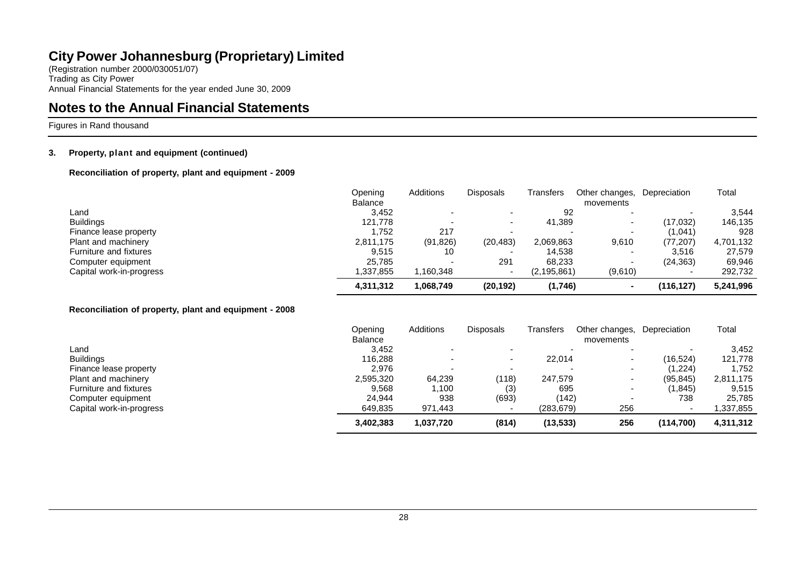(Registration number 2000/030051/07) Trading as City Power Annual Financial Statements for the year ended June 30, 2009

### **Notes to the Annual Financial Statements**

Figures in Rand thousand

### **3. Property, plant and equipment (continued)**

**Reconciliation of property, plant and equipment - 2009**

|                          | Opening<br>Balance | Additions | <b>Disposals</b> | Transfers     | Other changes,<br>movements | Depreciation | Total     |
|--------------------------|--------------------|-----------|------------------|---------------|-----------------------------|--------------|-----------|
| Land                     | 3.452              |           |                  | 92            |                             |              | 3.544     |
| <b>Buildings</b>         | 121,778            |           |                  | 41.389        | $\overline{\phantom{0}}$    | (17,032)     | 146,135   |
| Finance lease property   | .752               | 217       |                  |               |                             | (1,041)      | 928       |
| Plant and machinery      | 2,811,175          | (91, 826) | (20, 483)        | 2,069,863     | 9,610                       | (77, 207)    | 4,701,132 |
| Furniture and fixtures   | 9,515              | 10        |                  | 14,538        |                             | 3,516        | 27,579    |
| Computer equipment       | 25.785             |           | 291              | 68.233        |                             | (24, 363)    | 69,946    |
| Capital work-in-progress | 337,855. ا         | .160,348  |                  | (2, 195, 861) | (9,610)                     |              | 292,732   |
|                          | 4,311,312          | 1,068,749 | (20, 192)        | (1,746)       | $\overline{\phantom{a}}$    | (116,127)    | 5,241,996 |

#### **Reconciliation of property, plant and equipment - 2008**

|                          | Opening        | <b>Additions</b> | <b>Disposals</b> | Transfers | Other changes,           | Depreciation | Total     |
|--------------------------|----------------|------------------|------------------|-----------|--------------------------|--------------|-----------|
|                          | <b>Balance</b> |                  |                  |           | movements                |              |           |
| Land                     | 3,452          |                  |                  |           |                          |              | 3,452     |
| <b>Buildings</b>         | 116.288        |                  |                  | 22,014    | $\overline{\phantom{0}}$ | (16,524)     | 121,778   |
| Finance lease property   | 2,976          |                  |                  |           | $\overline{\phantom{0}}$ | (1,224)      | 1,752     |
| Plant and machinery      | 2,595,320      | 64,239           | (118)            | 247,579   | $\overline{\phantom{0}}$ | (95, 845)    | 2,811,175 |
| Furniture and fixtures   | 9,568          | 1,100            | (3)              | 695       | $\overline{\phantom{0}}$ | (1,845)      | 9,515     |
| Computer equipment       | 24.944         | 938              | (693)            | (142)     | -                        | 738          | 25,785    |
| Capital work-in-progress | 649,835        | 971,443          |                  | (283,679) | 256                      |              | ,337,855  |
|                          | 3,402,383      | 1,037,720        | (814)            | (13, 533) | 256                      | (114.700)    | 4,311,312 |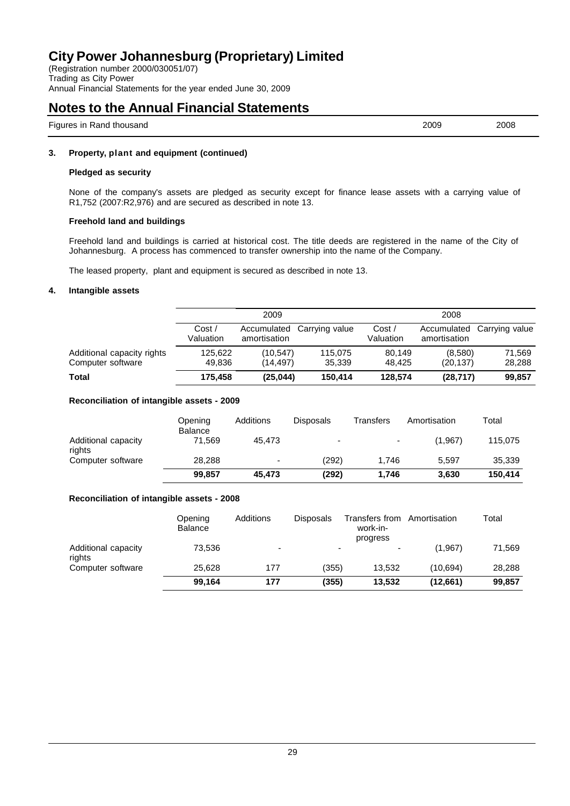(Registration number 2000/030051/07) Trading as City Power Annual Financial Statements for the year ended June 30, 2009

### **Notes to the Annual Financial Statements**

Figures in Rand thousand 2009 2008

### **3. Property, plant and equipment (continued)**

### **Pledged as security**

None of the company's assets are pledged as security except for finance lease assets with a carrying value of R1,752 (2007:R2,976) and are secured as described in note 13.

### **Freehold land and buildings**

Freehold land and buildings is carried at historical cost. The title deeds are registered in the name of the City of Johannesburg. A process has commenced to transfer ownership into the name of the Company.

The leased property, plant and equipment is secured as described in note 13.

### **4. Intangible assets**

|                            | 2009                |              | 2008                       |                    |              |                            |
|----------------------------|---------------------|--------------|----------------------------|--------------------|--------------|----------------------------|
|                            | Cost /<br>Valuation | amortisation | Accumulated Carrying value | Cost/<br>Valuation | amortisation | Accumulated Carrying value |
| Additional capacity rights | 125.622             | (10.547)     | 115.075                    | 80.149             | (8,580)      | 71.569                     |
| Computer software          | 49.836              | (14.497)     | 35.339                     | 48.425             | (20, 137)    | 28.288                     |
| Total                      | 175.458             | (25, 044)    | 150,414                    | 128,574            | (28, 717)    | 99,857                     |

### **Reconciliation of intangible assets - 2009**

|                               | Opening<br><b>Balance</b> | <b>Additions</b> | <b>Disposals</b>         | Transfers | Amortisation | Total   |
|-------------------------------|---------------------------|------------------|--------------------------|-----------|--------------|---------|
| Additional capacity<br>rights | 71,569                    | 45.473           | $\overline{\phantom{0}}$ |           | (1,967)      | 115,075 |
| Computer software             | 28,288                    | ۰                | (292)                    | 1.746     | 5.597        | 35,339  |
|                               | 99.857                    | 45.473           | (292)                    | 1.746     | 3.630        | 150.414 |

### **Reconciliation of intangible assets - 2008**

|                               | Opening<br><b>Balance</b> | Additions                | <b>Disposals</b>         | Transfers from<br>work-in-<br>progress | Amortisation | Total  |
|-------------------------------|---------------------------|--------------------------|--------------------------|----------------------------------------|--------------|--------|
| Additional capacity<br>rights | 73.536                    | $\overline{\phantom{0}}$ | $\overline{\phantom{0}}$ | $\overline{\phantom{0}}$               | (1,967)      | 71,569 |
| Computer software             | 25.628                    | 177                      | (355)                    | 13.532                                 | (10.694)     | 28,288 |
|                               | 99.164                    | 177                      | (355)                    | 13,532                                 | (12,661)     | 99,857 |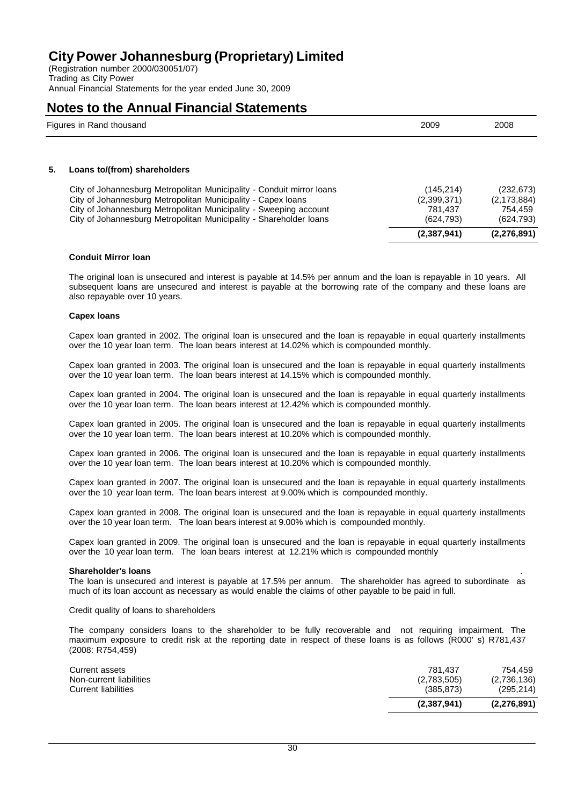(Registration number 2000/030051/07) Trading as City Power Annual Financial Statements for the year ended June 30, 2009

### **Notes to the Annual Financial Statements**

|    | Figures in Rand thousand                                              | 2009        | 2008          |
|----|-----------------------------------------------------------------------|-------------|---------------|
| 5. | Loans to/(from) shareholders                                          |             |               |
|    | City of Johannesburg Metropolitan Municipality - Conduit mirror loans | (145, 214)  | (232, 673)    |
|    | City of Johannesburg Metropolitan Municipality - Capex Ioans          | (2,399,371) | (2, 173, 884) |
|    | City of Johannesburg Metropolitan Municipality - Sweeping account     | 781.437     | 754.459       |
|    | City of Johannesburg Metropolitan Municipality - Shareholder Ioans    | (624, 793)  | (624, 793)    |

### **Conduit Mirror loan**

The original loan is unsecured and interest is payable at 14.5% per annum and the loan is repayable in 10 years. All subsequent loans are unsecured and interest is payable at the borrowing rate of the company and these loans are also repayable over 10 years.

**(2,387,941) (2,276,891)**

#### **Capex loans**

Capex loan granted in 2002. The original loan is unsecured and the loan is repayable in equal quarterly installments over the 10 year loan term. The loan bears interest at 14.02% which is compounded monthly.

Capex loan granted in 2003. The original loan is unsecured and the loan is repayable in equal quarterly installments over the 10 year loan term. The loan bears interest at 14.15% which is compounded monthly.

Capex loan granted in 2004. The original loan is unsecured and the loan is repayable in equal quarterly installments over the 10 year loan term. The loan bears interest at 12.42% which is compounded monthly.

Capex loan granted in 2005. The original loan is unsecured and the loan is repayable in equal quarterly installments over the 10 year loan term. The loan bears interest at 10.20% which is compounded monthly.

Capex loan granted in 2006. The original loan is unsecured and the loan is repayable in equal quarterly installments over the 10 year loan term. The loan bears interest at 10.20% which is compounded monthly.

Capex loan granted in 2007. The original loan is unsecured and the loan is repayable in equal quarterly installments over the 10 year loan term. The loan bears interest at 9.00% which is compounded monthly.

Capex loan granted in 2008. The original loan is unsecured and the loan is repayable in equal quarterly installments over the 10 year loan term. The loan bears interest at 9.00% which is compounded monthly.

Capex loan granted in 2009. The original loan is unsecured and the loan is repayable in equal quarterly installments over the 10 year loan term. The loan bears interest at 12.21% which is compounded monthly

#### **Shareholder's loans** .

The loan is unsecured and interest is payable at 17.5% per annum. The shareholder has agreed to subordinate as much of its loan account as necessary as would enable the claims of other payable to be paid in full.

Credit quality of loans to shareholders

The company considers loans to the shareholder to be fully recoverable and not requiring impairment. The maximum exposure to credit risk at the reporting date in respect of these loans is as follows (R000' s) R781,437 (2008: R754,459)

|                                           | (2,387,941)            | (2,276,891)            |
|-------------------------------------------|------------------------|------------------------|
| <b>Current liabilities</b>                | (385, 873)             | (295, 214)             |
| Current assets<br>Non-current liabilities | 781.437<br>(2,783,505) | 754.459<br>(2,736,136) |
|                                           |                        |                        |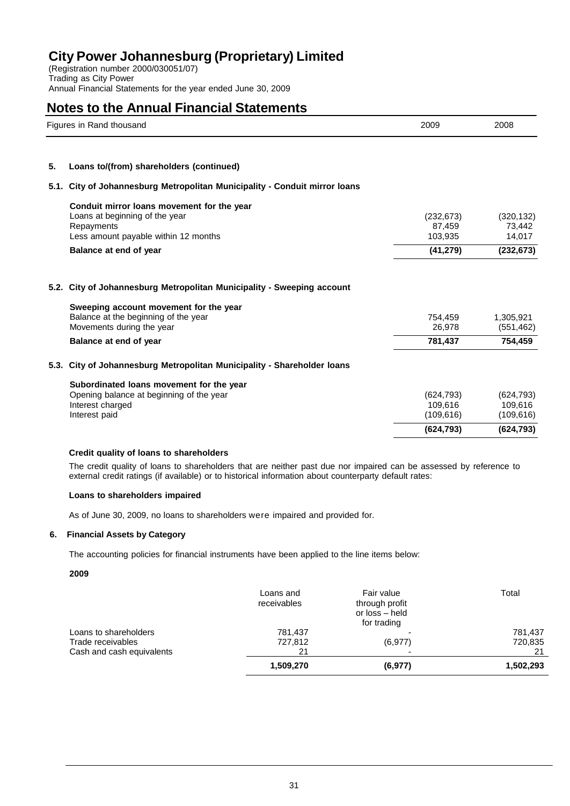(Registration number 2000/030051/07) Trading as City Power Annual Financial Statements for the year ended June 30, 2009

### **Notes to the Annual Financial Statements**

|      | Figures in Rand thousand                                                                                                                                     | 2009                                         | 2008                                         |  |
|------|--------------------------------------------------------------------------------------------------------------------------------------------------------------|----------------------------------------------|----------------------------------------------|--|
| 5.   | Loans to/(from) shareholders (continued)                                                                                                                     |                                              |                                              |  |
| 5.1. | City of Johannesburg Metropolitan Municipality - Conduit mirror loans                                                                                        |                                              |                                              |  |
|      | Conduit mirror loans movement for the year<br>Loans at beginning of the year<br>Repayments<br>Less amount payable within 12 months<br>Balance at end of year | (232, 673)<br>87.459<br>103,935<br>(41, 279) | (320, 132)<br>73,442<br>14,017<br>(232, 673) |  |
|      |                                                                                                                                                              |                                              |                                              |  |
|      | 5.2. City of Johannesburg Metropolitan Municipality - Sweeping account                                                                                       |                                              |                                              |  |
|      | Sweeping account movement for the year<br>Balance at the beginning of the year<br>Movements during the year                                                  | 754,459<br>26,978                            | 1,305,921<br>(551, 462)                      |  |
|      | Balance at end of year                                                                                                                                       | 781,437                                      | 754,459                                      |  |
| 5.3. | City of Johannesburg Metropolitan Municipality - Shareholder Ioans                                                                                           |                                              |                                              |  |
|      | Subordinated loans movement for the year                                                                                                                     |                                              |                                              |  |
|      | Opening balance at beginning of the year<br>Interest charged<br>Interest paid                                                                                | (624, 793)<br>109,616<br>(109, 616)          | (624, 793)<br>109,616<br>(109, 616)          |  |
|      |                                                                                                                                                              | (624, 793)                                   | (624, 793)                                   |  |

### **Credit quality of loans to shareholders**

The credit quality of loans to shareholders that are neither past due nor impaired can be assessed by reference to external credit ratings (if available) or to historical information about counterparty default rates:

#### **Loans to shareholders impaired**

As of June 30, 2009, no loans to shareholders were impaired and provided for.

### **6. Financial Assets by Category**

The accounting policies for financial instruments have been applied to the line items below:

### **2009**

|                           | Loans and<br>receivables | Fair value<br>through profit<br>or loss - held<br>for trading | Total     |
|---------------------------|--------------------------|---------------------------------------------------------------|-----------|
| Loans to shareholders     | 781.437                  |                                                               | 781,437   |
| Trade receivables         | 727,812                  | (6,977)                                                       | 720,835   |
| Cash and cash equivalents | 21                       | $\overline{\phantom{0}}$                                      | 21        |
|                           | 1,509,270                | (6, 977)                                                      | 1,502,293 |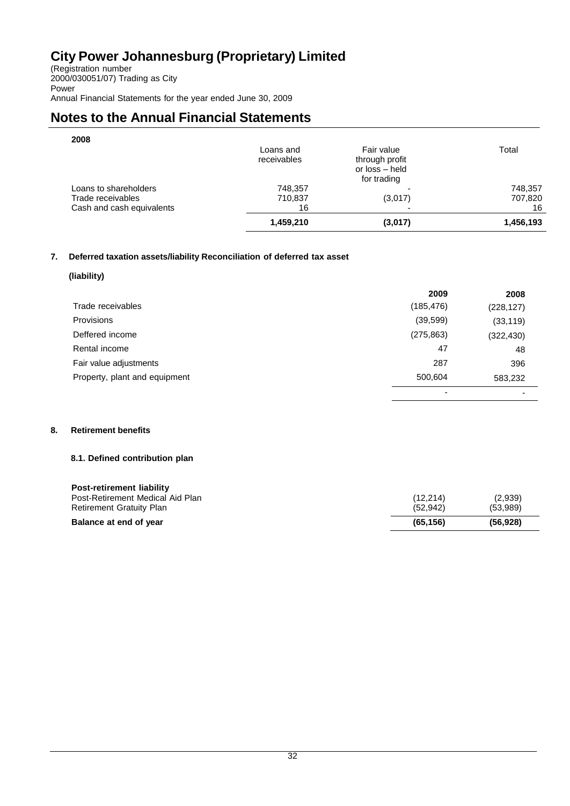(Registration number 2000/030051/07) Trading as City Power Annual Financial Statements for the year ended June 30, 2009

# **Notes to the Annual Financial Statements**

| 2008                                                                    | Loans and<br>receivables | Fair value<br>through profit<br>or loss - held<br>for trading | Total                    |
|-------------------------------------------------------------------------|--------------------------|---------------------------------------------------------------|--------------------------|
| Loans to shareholders<br>Trade receivables<br>Cash and cash equivalents | 748,357<br>710,837<br>16 | -<br>(3,017)<br>-                                             | 748,357<br>707,820<br>16 |
|                                                                         | 1,459,210                | (3,017)                                                       | 1,456,193                |

### **7. Deferred taxation assets/liability Reconciliation of deferred tax asset**

### **(liability)**

|                               | 2009       | 2008                     |
|-------------------------------|------------|--------------------------|
| Trade receivables             | (185, 476) | (228, 127)               |
| <b>Provisions</b>             | (39, 599)  | (33, 119)                |
| Deffered income               | (275, 863) | (322, 430)               |
| Rental income                 | 47         | 48                       |
| Fair value adjustments        | 287        | 396                      |
| Property, plant and equipment | 500,604    | 583,232                  |
|                               | -          | $\overline{\phantom{0}}$ |

### **8. Retirement benefits**

### **8.1. Defined contribution plan**

| <b>Post-retirement liability</b> |           |          |
|----------------------------------|-----------|----------|
| Post-Retirement Medical Aid Plan | (12, 214) | (2,939)  |
| <b>Retirement Gratuity Plan</b>  | (52.942)  | (53,989) |
| Balance at end of year           | (65.156)  | (56.928) |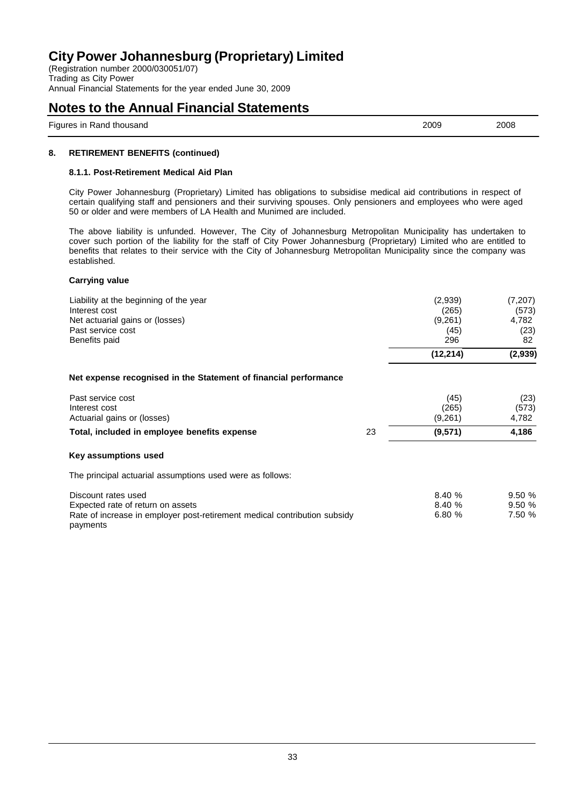(Registration number 2000/030051/07) Trading as City Power Annual Financial Statements for the year ended June 30, 2009

### **Notes to the Annual Financial Statements**

Figures in Rand thousand 2009 2008

### **8. RETIREMENT BENEFITS (continued)**

### **8.1.1. Post-Retirement Medical Aid Plan**

City Power Johannesburg (Proprietary) Limited has obligations to subsidise medical aid contributions in respect of certain qualifying staff and pensioners and their surviving spouses. Only pensioners and employees who were aged 50 or older and were members of LA Health and Munimed are included.

The above liability is unfunded. However, The City of Johannesburg Metropolitan Municipality has undertaken to cover such portion of the liability for the staff of City Power Johannesburg (Proprietary) Limited who are entitled to benefits that relates to their service with the City of Johannesburg Metropolitan Municipality since the company was established.

### **Carrying value**

| Liability at the beginning of the year<br>Interest cost<br>Net actuarial gains or (losses)<br>Past service cost<br>Benefits paid                  |    | (2,939)<br>(265)<br>(9,261)<br>(45)<br>296 | (7,207)<br>(573)<br>4,782<br>(23)<br>82 |
|---------------------------------------------------------------------------------------------------------------------------------------------------|----|--------------------------------------------|-----------------------------------------|
|                                                                                                                                                   |    | (12, 214)                                  | (2,939)                                 |
| Net expense recognised in the Statement of financial performance                                                                                  |    |                                            |                                         |
| Past service cost<br>Interest cost<br>Actuarial gains or (losses)                                                                                 |    | (45)<br>(265)<br>(9,261)                   | (23)<br>(573)<br>4,782                  |
| Total, included in employee benefits expense                                                                                                      | 23 | (9,571)                                    | 4,186                                   |
| Key assumptions used                                                                                                                              |    |                                            |                                         |
| The principal actuarial assumptions used were as follows:                                                                                         |    |                                            |                                         |
| Discount rates used<br>Expected rate of return on assets<br>Rate of increase in employer post-retirement medical contribution subsidy<br>payments |    | 8.40 %<br>8.40 %<br>6.80 %                 | 9.50%<br>9.50%<br>7.50 %                |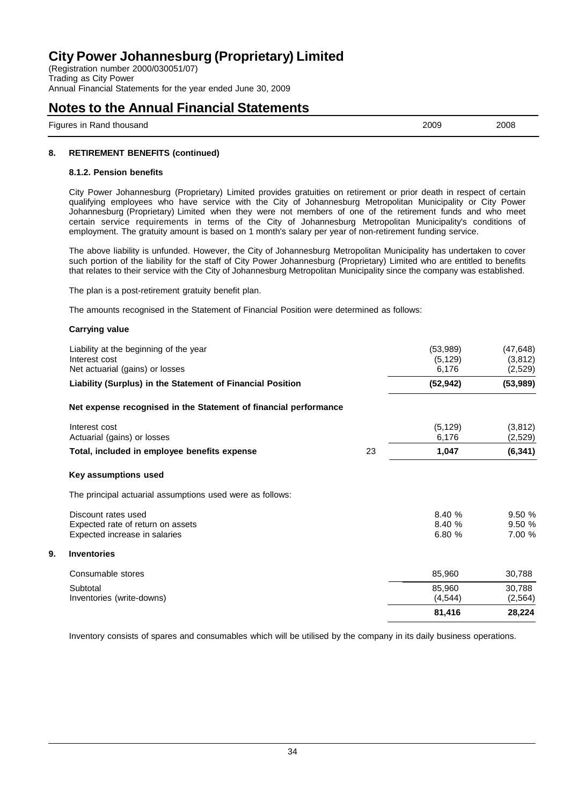(Registration number 2000/030051/07) Trading as City Power Annual Financial Statements for the year ended June 30, 2009

### **Notes to the Annual Financial Statements**

Figures in Rand thousand 2009 2008

### **8. RETIREMENT BENEFITS (continued)**

### **8.1.2. Pension benefits**

City Power Johannesburg (Proprietary) Limited provides gratuities on retirement or prior death in respect of certain qualifying employees who have service with the City of Johannesburg Metropolitan Municipality or City Power Johannesburg (Proprietary) Limited when they were not members of one of the retirement funds and who meet certain service requirements in terms of the City of Johannesburg Metropolitan Municipality's conditions of employment. The gratuity amount is based on 1 month's salary per year of non-retirement funding service.

The above liability is unfunded. However, the City of Johannesburg Metropolitan Municipality has undertaken to cover such portion of the liability for the staff of City Power Johannesburg (Proprietary) Limited who are entitled to benefits that relates to their service with the City of Johannesburg Metropolitan Municipality since the company was established.

The plan is a post-retirement gratuity benefit plan.

The amounts recognised in the Statement of Financial Position were determined as follows:

### **Carrying value**

| Liability at the beginning of the year<br>Interest cost<br>Net actuarial (gains) or losses |    | (53,989)<br>(5, 129)<br>6,176 | (47, 648)<br>(3,812)<br>(2,529) |
|--------------------------------------------------------------------------------------------|----|-------------------------------|---------------------------------|
| Liability (Surplus) in the Statement of Financial Position                                 |    | (52, 942)                     | (53,989)                        |
| Net expense recognised in the Statement of financial performance                           |    |                               |                                 |
| Interest cost<br>Actuarial (gains) or losses                                               |    | (5, 129)<br>6,176             | (3,812)<br>(2,529)              |
| Total, included in employee benefits expense                                               | 23 | 1,047                         | (6, 341)                        |
| Key assumptions used                                                                       |    |                               |                                 |
| The principal actuarial assumptions used were as follows:                                  |    |                               |                                 |
| Discount rates used<br>Expected rate of return on assets<br>Expected increase in salaries  |    | 8.40%<br>8.40%<br>6.80%       | 9.50 %<br>9.50%<br>7.00 %       |
| 9.<br><b>Inventories</b>                                                                   |    |                               |                                 |
| Consumable stores                                                                          |    | 85,960                        | 30,788                          |
| Subtotal<br>Inventories (write-downs)                                                      |    | 85,960<br>(4, 544)            | 30,788<br>(2, 564)              |
|                                                                                            |    | 81,416                        | 28,224                          |

Inventory consists of spares and consumables which will be utilised by the company in its daily business operations.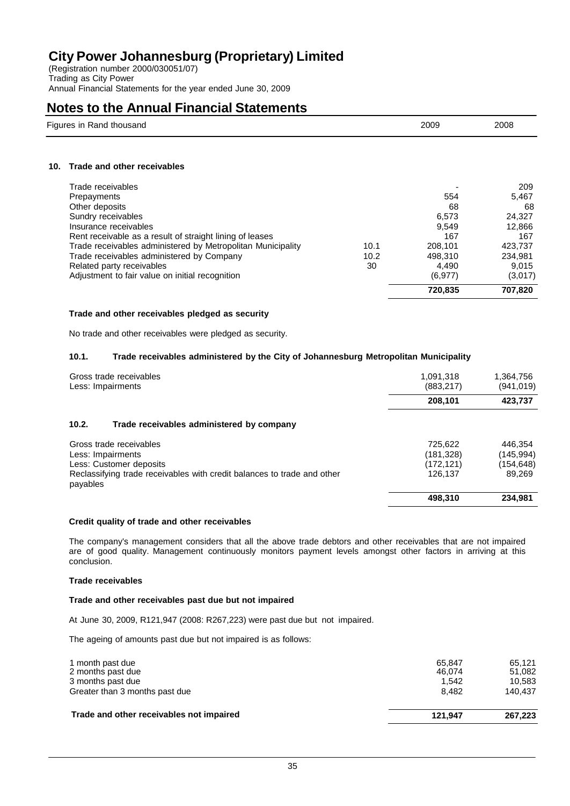(Registration number 2000/030051/07) Trading as City Power Annual Financial Statements for the year ended June 30, 2009

### **Notes to the Annual Financial Statements**

| Figures in Rand thousand | 2009<br>. | 2008 |
|--------------------------|-----------|------|
|                          |           |      |

### **10. Trade and other receivables**

|                                                             |      | 720.835  | 707.820 |
|-------------------------------------------------------------|------|----------|---------|
| Adjustment to fair value on initial recognition             |      | (6, 977) | (3,017) |
| Related party receivables                                   | 30   | 4.490    | 9,015   |
| Trade receivables administered by Company                   | 10.2 | 498.310  | 234,981 |
| Trade receivables administered by Metropolitan Municipality | 10.1 | 208.101  | 423.737 |
| Rent receivable as a result of straight lining of leases    |      | 167      | 167     |
| Insurance receivables                                       |      | 9.549    | 12,866  |
| Sundry receivables                                          |      | 6.573    | 24,327  |
| Other deposits                                              |      | 68       | 68      |
| Prepayments                                                 |      | 554      | 5,467   |
| Trade receivables                                           |      |          | 209     |

### **Trade and other receivables pledged as security**

No trade and other receivables were pledged as security.

### **10.1. Trade receivables administered by the City of Johannesburg Metropolitan Municipality**

| Gross trade receivables<br>Less: Impairments                                                                                                                   | 1,091,318<br>(883, 217)                        | 1,364,756<br>(941,019)                      |
|----------------------------------------------------------------------------------------------------------------------------------------------------------------|------------------------------------------------|---------------------------------------------|
|                                                                                                                                                                | 208,101                                        | 423,737                                     |
| 10.2.<br>Trade receivables administered by company                                                                                                             |                                                |                                             |
| Gross trade receivables<br>Less: Impairments<br>Less: Customer deposits<br>Reclassifying trade receivables with credit balances to trade and other<br>payables | 725,622<br>(181, 328)<br>(172, 121)<br>126.137 | 446,354<br>(145,994)<br>(154,648)<br>89,269 |
|                                                                                                                                                                | 498,310                                        | 234,981                                     |

### **Credit quality of trade and other receivables**

The company's management considers that all the above trade debtors and other receivables that are not impaired are of good quality. Management continuously monitors payment levels amongst other factors in arriving at this conclusion.

#### **Trade receivables**

### **Trade and other receivables past due but not impaired**

At June 30, 2009, R121,947 (2008: R267,223) were past due but not impaired.

The ageing of amounts past due but not impaired is as follows:

| Trade and other receivables not impaired | 121.947          | 267.223          |
|------------------------------------------|------------------|------------------|
| Greater than 3 months past due           | 8.482            | 140.437          |
| 3 months past due                        | 1.542            | 10.583           |
| 1 month past due<br>2 months past due    | 65.847<br>46.074 | 65.121<br>51,082 |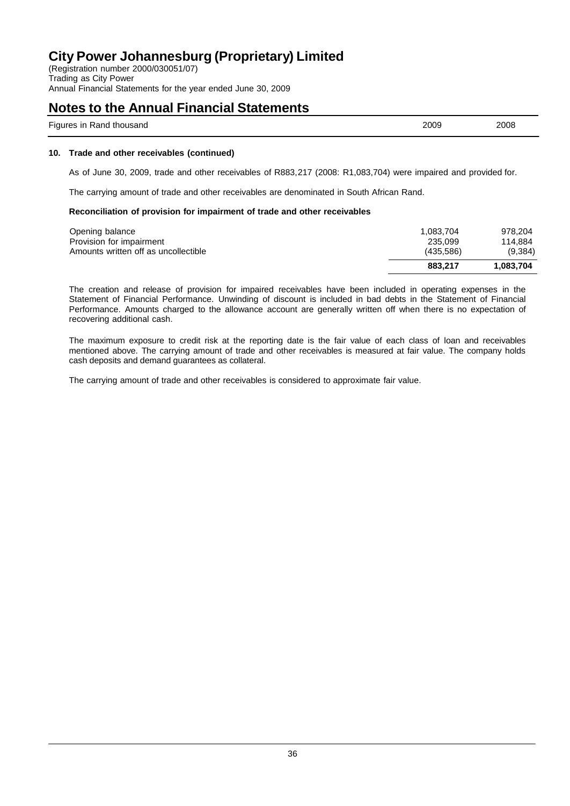(Registration number 2000/030051/07) Trading as City Power Annual Financial Statements for the year ended June 30, 2009

### **Notes to the Annual Financial Statements**

| $ -$<br>2009<br>2008<br>thousand<br>Rand<br>Figures in |  |
|--------------------------------------------------------|--|
|--------------------------------------------------------|--|

### **10. Trade and other receivables (continued)**

As of June 30, 2009, trade and other receivables of R883,217 (2008: R1,083,704) were impaired and provided for.

The carrying amount of trade and other receivables are denominated in South African Rand.

#### **Reconciliation of provision for impairment of trade and other receivables**

| 114.884<br>(9,384) |
|--------------------|
|                    |
|                    |
| 978.204            |
|                    |

The creation and release of provision for impaired receivables have been included in operating expenses in the Statement of Financial Performance. Unwinding of discount is included in bad debts in the Statement of Financial Performance. Amounts charged to the allowance account are generally written off when there is no expectation of recovering additional cash.

The maximum exposure to credit risk at the reporting date is the fair value of each class of loan and receivables mentioned above. The carrying amount of trade and other receivables is measured at fair value. The company holds cash deposits and demand guarantees as collateral.

The carrying amount of trade and other receivables is considered to approximate fair value.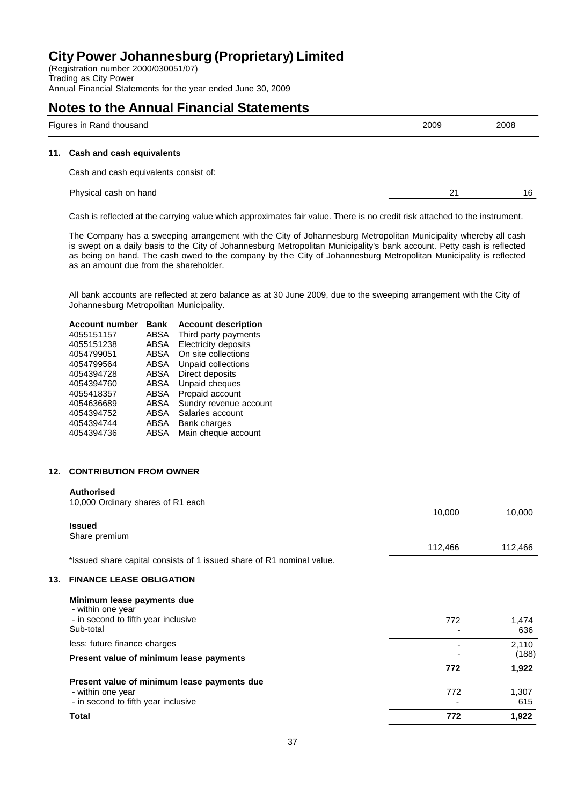(Registration number 2000/030051/07) Trading as City Power Annual Financial Statements for the year ended June 30, 2009

### **Notes to the Annual Financial Statements**

| <b>Figures</b><br>' thousano<br>ın<br>Rano k | ∠009<br>- - - | 2008 |
|----------------------------------------------|---------------|------|
|                                              |               |      |

#### **11. Cash and cash equivalents**

Cash and cash equivalents consist of:

Physical cash on hand 21 16

Cash is reflected at the carrying value which approximates fair value. There is no credit risk attached to the instrument.

The Company has a sweeping arrangement with the City of Johannesburg Metropolitan Municipality whereby all cash is swept on a daily basis to the City of Johannesburg Metropolitan Municipality's bank account. Petty cash is reflected as being on hand. The cash owed to the company by the City of Johannesburg Metropolitan Municipality is reflected as an amount due from the shareholder.

All bank accounts are reflected at zero balance as at 30 June 2009, due to the sweeping arrangement with the City of Johannesburg Metropolitan Municipality.

| <b>Bank</b> | <b>Account description</b> |
|-------------|----------------------------|
| ABSA        | Third party payments       |
| ABSA        | Electricity deposits       |
| <b>ABSA</b> | On site collections        |
| ABSA        | Unpaid collections         |
| ABSA        | Direct deposits            |
| ABSA        | Unpaid cheques             |
| ABSA        | Prepaid account            |
| ABSA        | Sundry revenue account     |
| ABSA        | Salaries account           |
| <b>ABSA</b> | <b>Bank charges</b>        |
| ABSA        | Main cheque account        |
|             |                            |

#### **12. CONTRIBUTION FROM OWNER**

#### **Authorised**

|     | <b>Total</b>                                                                                            | 772     | 1,922        |
|-----|---------------------------------------------------------------------------------------------------------|---------|--------------|
|     | Present value of minimum lease payments due<br>- within one year<br>- in second to fifth year inclusive | 772     | 1,307<br>615 |
|     |                                                                                                         | 772     | 1,922        |
|     | Present value of minimum lease payments                                                                 |         | (188)        |
|     | less: future finance charges                                                                            |         | 2,110        |
|     | Minimum lease payments due<br>- within one year<br>- in second to fifth year inclusive<br>Sub-total     | 772     | 1,474<br>636 |
| 13. | <b>FINANCE LEASE OBLIGATION</b>                                                                         |         |              |
|     | *Issued share capital consists of 1 issued share of R1 nominal value.                                   |         |              |
|     | Share premium                                                                                           | 112,466 | 112,466      |
|     | <b>Issued</b>                                                                                           |         |              |
|     |                                                                                                         | 10,000  | 10,000       |
|     | 10,000 Ordinary shares of R1 each                                                                       |         |              |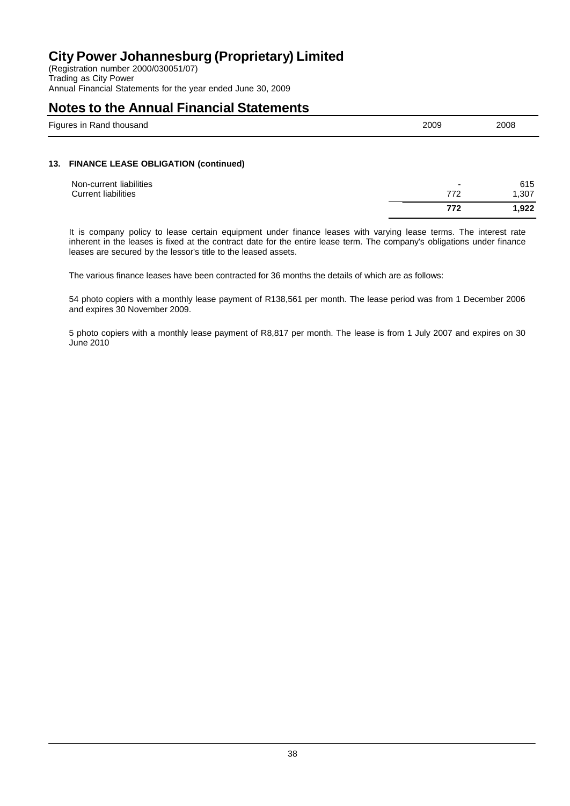(Registration number 2000/030051/07) Trading as City Power Annual Financial Statements for the year ended June 30, 2009

### **Notes to the Annual Financial Statements**

| $- \cdot$<br>isanc<br>kanc<br>. | 2009<br>$-00$ | 2008 |
|---------------------------------|---------------|------|
|                                 |               |      |

### **13. FINANCE LEASE OBLIGATION (continued)**

|                            | 772                      | 1.922 |
|----------------------------|--------------------------|-------|
| <b>Current liabilities</b> | 772                      | 1,307 |
| Non-current liabilities    | $\overline{\phantom{0}}$ | 615   |

It is company policy to lease certain equipment under finance leases with varying lease terms. The interest rate inherent in the leases is fixed at the contract date for the entire lease term. The company's obligations under finance leases are secured by the lessor's title to the leased assets.

The various finance leases have been contracted for 36 months the details of which are as follows:

54 photo copiers with a monthly lease payment of R138,561 per month. The lease period was from 1 December 2006 and expires 30 November 2009.

5 photo copiers with a monthly lease payment of R8,817 per month. The lease is from 1 July 2007 and expires on 30 June 2010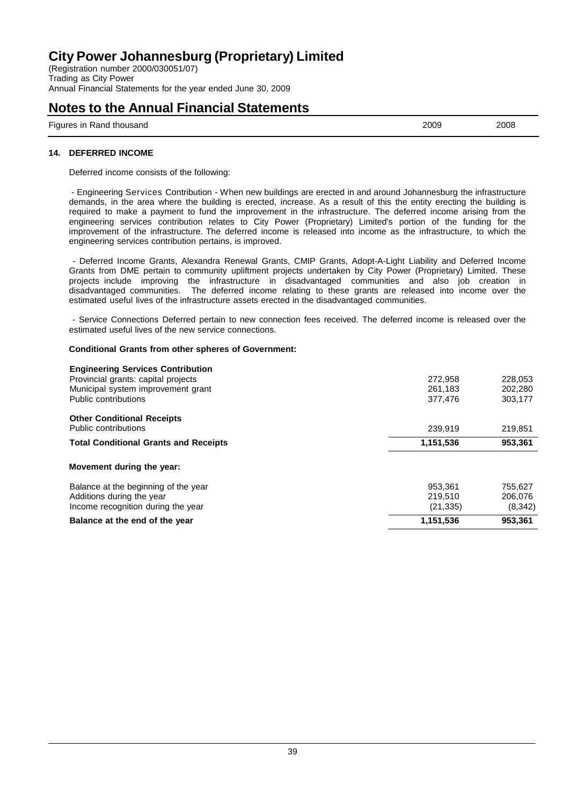(Registration number 2000/030051/07) Trading as City Power Annual Financial Statements for the year ended June 30, 2009

### **Notes to the Annual Financial Statements**

Figures in Rand thousand 2009 2008

### **14. DEFERRED INCOME**

Deferred income consists of the following:

- Engineering Services Contribution - When new buildings are erected in and around Johannesburg the infrastructure demands, in the area where the building is erected, increase. As a result of this the entity erecting the building is required to make a payment to fund the improvement in the infrastructure. The deferred income arising from the engineering services contribution relates to City Power (Proprietary) Limited's portion of the funding for the improvement of the infrastructure. The deferred income is released into income as the infrastructure, to which the engineering services contribution pertains, is improved.

- Deferred Income Grants, Alexandra Renewal Grants, CMIP Grants, Adopt-A-Light Liability and Deferred Income Grants from DME pertain to community upliftment projects undertaken by City Power (Proprietary) Limited. These projects include improving the infrastructure in disadvantaged communities and also job creation in disadvantaged communities. The deferred income relating to these grants are released into income over the estimated useful lives of the infrastructure assets erected in the disadvantaged communities.

- Service Connections Deferred pertain to new connection fees received. The deferred income is released over the estimated useful lives of the new service connections.

### **Conditional Grants from other spheres of Government:**

| <b>Engineering Services Contribution</b>     |           |         |
|----------------------------------------------|-----------|---------|
| Provincial grants: capital projects          | 272,958   | 228,053 |
| Municipal system improvement grant           | 261.183   | 202.280 |
| Public contributions                         | 377,476   | 303,177 |
| <b>Other Conditional Receipts</b>            |           |         |
| Public contributions                         | 239.919   | 219,851 |
| <b>Total Conditional Grants and Receipts</b> | 1,151,536 | 953,361 |
| Movement during the year:                    |           |         |
| Balance at the beginning of the year         | 953.361   | 755.627 |
| Additions during the year                    | 219,510   | 206.076 |
| Income recognition during the year           | (21,335)  | (8,342) |
| Balance at the end of the year               | 1,151,536 | 953.361 |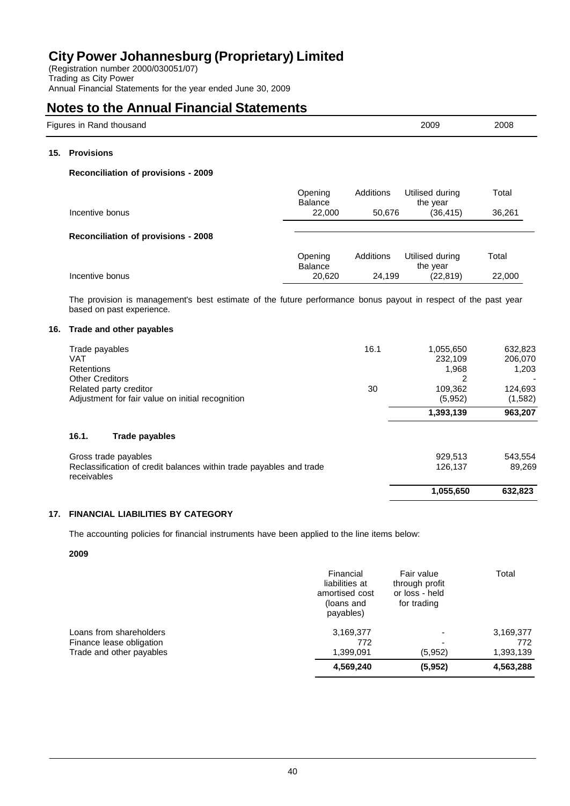(Registration number 2000/030051/07) Trading as City Power Annual Financial Statements for the year ended June 30, 2009

### **Notes to the Annual Financial Statements**

| Figures in Rand thousand | 2009 | 2008 |
|--------------------------|------|------|
|--------------------------|------|------|

### **15. Provisions**

### **Reconciliation of provisions - 2009**

| Incentive bonus                            | Opening<br><b>Balance</b><br>22,000 | Additions<br>50.676 | Utilised during<br>the year<br>(36.415) | Total<br>36,261 |
|--------------------------------------------|-------------------------------------|---------------------|-----------------------------------------|-----------------|
| <b>Reconciliation of provisions - 2008</b> |                                     |                     |                                         |                 |
|                                            | Opening<br><b>Balance</b>           | Additions           | Utilised during<br>the year             | Total           |
| Incentive bonus                            | 20,620                              | 24.199              | (22, 819)                               | 22,000          |

The provision is management's best estimate of the future performance bonus payout in respect of the past year based on past experience.

### **16. Trade and other payables**

| 16.1.<br>Trade payables                                                    |      |                      |                    |
|----------------------------------------------------------------------------|------|----------------------|--------------------|
|                                                                            |      | 1,393,139            | 963,207            |
| Related party creditor<br>Adjustment for fair value on initial recognition | 30   | 109,362<br>(5,952)   | 124,693<br>(1,582) |
| Retentions<br><b>Other Creditors</b>                                       |      | 1,968                | 1,203              |
| Trade payables<br><b>VAT</b>                                               | 16.1 | 1,055,650<br>232,109 | 632,823<br>206,070 |

| 89.269             |
|--------------------|
| 543.554            |
| 929.513<br>126.137 |

### **17. FINANCIAL LIABILITIES BY CATEGORY**

The accounting policies for financial instruments have been applied to the line items below:

#### **2009**

|                          | Financial<br>liabilities at<br>amortised cost<br>(loans and<br>payables) | Fair value<br>through profit<br>or loss - held<br>for trading | Total     |
|--------------------------|--------------------------------------------------------------------------|---------------------------------------------------------------|-----------|
| Loans from shareholders  | 3,169,377                                                                |                                                               | 3,169,377 |
| Finance lease obligation | 772                                                                      |                                                               | 772       |
| Trade and other payables | 1.399.091                                                                | (5.952)                                                       | 1,393,139 |
|                          | 4,569,240                                                                | (5,952)                                                       | 4,563,288 |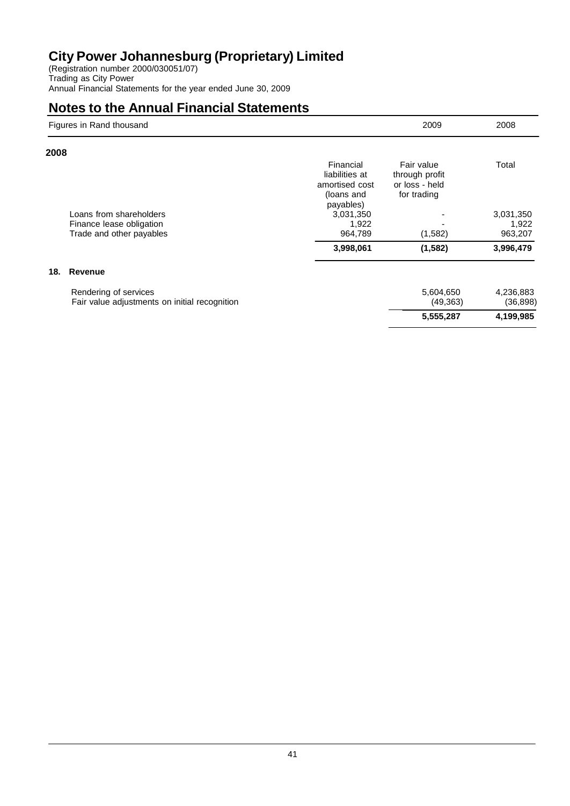(Registration number 2000/030051/07) Trading as City Power Annual Financial Statements for the year ended June 30, 2009

|      | Figures in Rand thousand                                               |                                                                          | 2009                                                          | 2008                   |
|------|------------------------------------------------------------------------|--------------------------------------------------------------------------|---------------------------------------------------------------|------------------------|
| 2008 |                                                                        |                                                                          |                                                               |                        |
|      |                                                                        | Financial<br>liabilities at<br>amortised cost<br>(loans and<br>payables) | Fair value<br>through profit<br>or loss - held<br>for trading | Total                  |
|      | Loans from shareholders                                                | 3,031,350                                                                |                                                               | 3,031,350              |
|      | Finance lease obligation                                               | 1,922                                                                    |                                                               | 1,922                  |
|      | Trade and other payables                                               | 964,789                                                                  | (1,582)                                                       | 963,207                |
|      |                                                                        | 3,998,061                                                                | (1, 582)                                                      | 3,996,479              |
| 18.  | <b>Revenue</b>                                                         |                                                                          |                                                               |                        |
|      | Rendering of services<br>Fair value adjustments on initial recognition |                                                                          | 5,604,650<br>(49, 363)                                        | 4,236,883<br>(36, 898) |
|      |                                                                        |                                                                          | 5,555,287                                                     | 4,199,985              |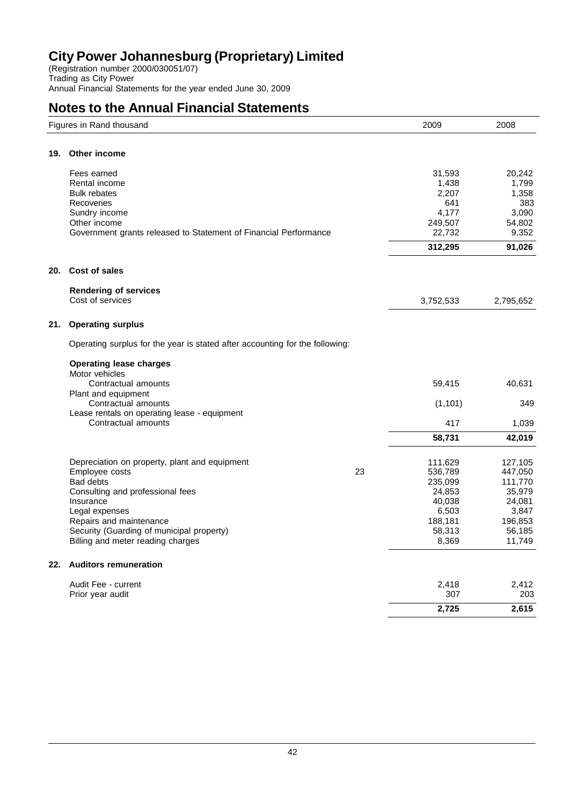(Registration number 2000/030051/07) Trading as City Power Annual Financial Statements for the year ended June 30, 2009

|     | Figures in Rand thousand                                                     |    | 2009         | 2008         |
|-----|------------------------------------------------------------------------------|----|--------------|--------------|
| 19. | Other income                                                                 |    |              |              |
|     |                                                                              |    |              |              |
|     | Fees earned                                                                  |    | 31,593       | 20,242       |
|     | Rental income                                                                |    | 1,438        | 1,799        |
|     | <b>Bulk rebates</b><br>Recoveries                                            |    | 2,207<br>641 | 1,358<br>383 |
|     | Sundry income                                                                |    | 4,177        | 3,090        |
|     | Other income                                                                 |    | 249,507      | 54,802       |
|     | Government grants released to Statement of Financial Performance             |    | 22,732       | 9,352        |
|     |                                                                              |    | 312,295      | 91,026       |
| 20. | <b>Cost of sales</b>                                                         |    |              |              |
|     |                                                                              |    |              |              |
|     | <b>Rendering of services</b>                                                 |    |              |              |
|     | Cost of services                                                             |    | 3,752,533    | 2,795,652    |
| 21. | <b>Operating surplus</b>                                                     |    |              |              |
|     | Operating surplus for the year is stated after accounting for the following: |    |              |              |
|     | <b>Operating lease charges</b>                                               |    |              |              |
|     | Motor vehicles                                                               |    |              |              |
|     | Contractual amounts                                                          |    | 59,415       | 40,631       |
|     | Plant and equipment                                                          |    |              |              |
|     | Contractual amounts                                                          |    | (1, 101)     | 349          |
|     | Lease rentals on operating lease - equipment<br>Contractual amounts          |    | 417          | 1,039        |
|     |                                                                              |    | 58,731       | 42,019       |
|     |                                                                              |    |              |              |
|     | Depreciation on property, plant and equipment                                |    | 111,629      | 127,105      |
|     | Employee costs                                                               | 23 | 536,789      | 447,050      |
|     | Bad debts                                                                    |    | 235,099      | 111,770      |
|     | Consulting and professional fees                                             |    | 24,853       | 35,979       |
|     | Insurance                                                                    |    | 40,038       | 24,081       |
|     | Legal expenses                                                               |    | 6,503        | 3,847        |
|     | Repairs and maintenance                                                      |    | 188,181      | 196,853      |
|     | Security (Guarding of municipal property)                                    |    | 58,313       | 56,185       |
|     | Billing and meter reading charges                                            |    | 8,369        | 11,749       |
|     | 22. Auditors remuneration                                                    |    |              |              |
|     | Audit Fee - current                                                          |    | 2,418        | 2,412        |
|     | Prior year audit                                                             |    | 307          | 203          |
|     |                                                                              |    | 2,725        | 2,615        |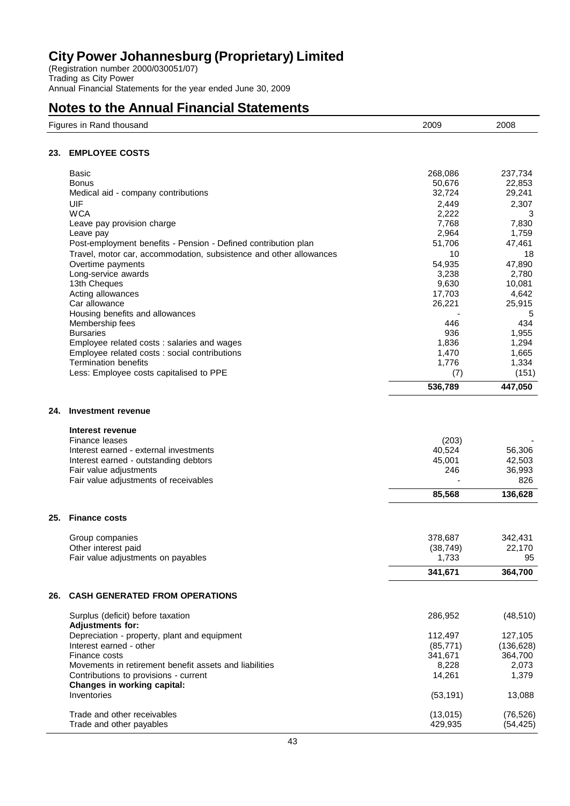(Registration number 2000/030051/07) Trading as City Power Annual Financial Statements for the year ended June 30, 2009

| <b>EMPLOYEE COSTS</b><br>23.<br>Basic<br>268,086<br>237,734<br>50,676<br>22,853<br>Bonus<br>32,724<br>29,241<br>Medical aid - company contributions<br>2,307<br>UIF<br>2,449<br><b>WCA</b><br>2,222<br>3<br>7,768<br>7,830<br>Leave pay provision charge<br>1,759<br>2,964<br>Leave pay<br>51,706<br>47,461<br>Post-employment benefits - Pension - Defined contribution plan<br>10<br>Travel, motor car, accommodation, subsistence and other allowances<br>18<br>47,890<br>Overtime payments<br>54,935<br>2,780<br>Long-service awards<br>3,238<br>10,081<br>13th Cheques<br>9,630<br>Acting allowances<br>17,703<br>4,642<br>Car allowance<br>26,221<br>25,915<br>Housing benefits and allowances<br>5<br>434<br>Membership fees<br>446<br>936<br>1,955<br><b>Bursaries</b><br>1,294<br>Employee related costs : salaries and wages<br>1,836<br>Employee related costs : social contributions<br>1,470<br>1,665<br><b>Termination benefits</b><br>1,334<br>1,776<br>Less: Employee costs capitalised to PPE<br>(7)<br>(151)<br>536,789<br>447,050<br>Investment revenue<br>24.<br>Interest revenue<br>Finance leases<br>(203)<br>40,524<br>56,306<br>Interest earned - external investments<br>Interest earned - outstanding debtors<br>45,001<br>42,503<br>Fair value adjustments<br>246<br>36,993<br>826<br>Fair value adjustments of receivables<br>85,568<br>136,628<br><b>Finance costs</b><br>25.<br>378,687<br>342,431<br>Group companies<br>Other interest paid<br>(38, 749)<br>22,170<br>1,733<br>Fair value adjustments on payables<br>95<br>341,671<br>364,700<br><b>CASH GENERATED FROM OPERATIONS</b><br>26.<br>Surplus (deficit) before taxation<br>286,952<br>(48, 510)<br><b>Adjustments for:</b><br>Depreciation - property, plant and equipment<br>112,497<br>127,105<br>Interest earned - other<br>(85, 771)<br>(136, 628)<br>Finance costs<br>364,700<br>341,671<br>Movements in retirement benefit assets and liabilities<br>2,073<br>8,228<br>14,261<br>1,379<br>Contributions to provisions - current<br>Changes in working capital:<br>Inventories<br>13,088<br>(53, 191)<br>(76, 526)<br>Trade and other receivables<br>(13,015)<br>Trade and other payables<br>429,935<br>(54, 425) | Figures in Rand thousand | 2009 | 2008 |
|------------------------------------------------------------------------------------------------------------------------------------------------------------------------------------------------------------------------------------------------------------------------------------------------------------------------------------------------------------------------------------------------------------------------------------------------------------------------------------------------------------------------------------------------------------------------------------------------------------------------------------------------------------------------------------------------------------------------------------------------------------------------------------------------------------------------------------------------------------------------------------------------------------------------------------------------------------------------------------------------------------------------------------------------------------------------------------------------------------------------------------------------------------------------------------------------------------------------------------------------------------------------------------------------------------------------------------------------------------------------------------------------------------------------------------------------------------------------------------------------------------------------------------------------------------------------------------------------------------------------------------------------------------------------------------------------------------------------------------------------------------------------------------------------------------------------------------------------------------------------------------------------------------------------------------------------------------------------------------------------------------------------------------------------------------------------------------------------------------------------------------------------------------------------------------------------------------------|--------------------------|------|------|
|                                                                                                                                                                                                                                                                                                                                                                                                                                                                                                                                                                                                                                                                                                                                                                                                                                                                                                                                                                                                                                                                                                                                                                                                                                                                                                                                                                                                                                                                                                                                                                                                                                                                                                                                                                                                                                                                                                                                                                                                                                                                                                                                                                                                                  |                          |      |      |
|                                                                                                                                                                                                                                                                                                                                                                                                                                                                                                                                                                                                                                                                                                                                                                                                                                                                                                                                                                                                                                                                                                                                                                                                                                                                                                                                                                                                                                                                                                                                                                                                                                                                                                                                                                                                                                                                                                                                                                                                                                                                                                                                                                                                                  |                          |      |      |
|                                                                                                                                                                                                                                                                                                                                                                                                                                                                                                                                                                                                                                                                                                                                                                                                                                                                                                                                                                                                                                                                                                                                                                                                                                                                                                                                                                                                                                                                                                                                                                                                                                                                                                                                                                                                                                                                                                                                                                                                                                                                                                                                                                                                                  |                          |      |      |
|                                                                                                                                                                                                                                                                                                                                                                                                                                                                                                                                                                                                                                                                                                                                                                                                                                                                                                                                                                                                                                                                                                                                                                                                                                                                                                                                                                                                                                                                                                                                                                                                                                                                                                                                                                                                                                                                                                                                                                                                                                                                                                                                                                                                                  |                          |      |      |
|                                                                                                                                                                                                                                                                                                                                                                                                                                                                                                                                                                                                                                                                                                                                                                                                                                                                                                                                                                                                                                                                                                                                                                                                                                                                                                                                                                                                                                                                                                                                                                                                                                                                                                                                                                                                                                                                                                                                                                                                                                                                                                                                                                                                                  |                          |      |      |
|                                                                                                                                                                                                                                                                                                                                                                                                                                                                                                                                                                                                                                                                                                                                                                                                                                                                                                                                                                                                                                                                                                                                                                                                                                                                                                                                                                                                                                                                                                                                                                                                                                                                                                                                                                                                                                                                                                                                                                                                                                                                                                                                                                                                                  |                          |      |      |
|                                                                                                                                                                                                                                                                                                                                                                                                                                                                                                                                                                                                                                                                                                                                                                                                                                                                                                                                                                                                                                                                                                                                                                                                                                                                                                                                                                                                                                                                                                                                                                                                                                                                                                                                                                                                                                                                                                                                                                                                                                                                                                                                                                                                                  |                          |      |      |
|                                                                                                                                                                                                                                                                                                                                                                                                                                                                                                                                                                                                                                                                                                                                                                                                                                                                                                                                                                                                                                                                                                                                                                                                                                                                                                                                                                                                                                                                                                                                                                                                                                                                                                                                                                                                                                                                                                                                                                                                                                                                                                                                                                                                                  |                          |      |      |
|                                                                                                                                                                                                                                                                                                                                                                                                                                                                                                                                                                                                                                                                                                                                                                                                                                                                                                                                                                                                                                                                                                                                                                                                                                                                                                                                                                                                                                                                                                                                                                                                                                                                                                                                                                                                                                                                                                                                                                                                                                                                                                                                                                                                                  |                          |      |      |
|                                                                                                                                                                                                                                                                                                                                                                                                                                                                                                                                                                                                                                                                                                                                                                                                                                                                                                                                                                                                                                                                                                                                                                                                                                                                                                                                                                                                                                                                                                                                                                                                                                                                                                                                                                                                                                                                                                                                                                                                                                                                                                                                                                                                                  |                          |      |      |
|                                                                                                                                                                                                                                                                                                                                                                                                                                                                                                                                                                                                                                                                                                                                                                                                                                                                                                                                                                                                                                                                                                                                                                                                                                                                                                                                                                                                                                                                                                                                                                                                                                                                                                                                                                                                                                                                                                                                                                                                                                                                                                                                                                                                                  |                          |      |      |
|                                                                                                                                                                                                                                                                                                                                                                                                                                                                                                                                                                                                                                                                                                                                                                                                                                                                                                                                                                                                                                                                                                                                                                                                                                                                                                                                                                                                                                                                                                                                                                                                                                                                                                                                                                                                                                                                                                                                                                                                                                                                                                                                                                                                                  |                          |      |      |
|                                                                                                                                                                                                                                                                                                                                                                                                                                                                                                                                                                                                                                                                                                                                                                                                                                                                                                                                                                                                                                                                                                                                                                                                                                                                                                                                                                                                                                                                                                                                                                                                                                                                                                                                                                                                                                                                                                                                                                                                                                                                                                                                                                                                                  |                          |      |      |
|                                                                                                                                                                                                                                                                                                                                                                                                                                                                                                                                                                                                                                                                                                                                                                                                                                                                                                                                                                                                                                                                                                                                                                                                                                                                                                                                                                                                                                                                                                                                                                                                                                                                                                                                                                                                                                                                                                                                                                                                                                                                                                                                                                                                                  |                          |      |      |
|                                                                                                                                                                                                                                                                                                                                                                                                                                                                                                                                                                                                                                                                                                                                                                                                                                                                                                                                                                                                                                                                                                                                                                                                                                                                                                                                                                                                                                                                                                                                                                                                                                                                                                                                                                                                                                                                                                                                                                                                                                                                                                                                                                                                                  |                          |      |      |
|                                                                                                                                                                                                                                                                                                                                                                                                                                                                                                                                                                                                                                                                                                                                                                                                                                                                                                                                                                                                                                                                                                                                                                                                                                                                                                                                                                                                                                                                                                                                                                                                                                                                                                                                                                                                                                                                                                                                                                                                                                                                                                                                                                                                                  |                          |      |      |
|                                                                                                                                                                                                                                                                                                                                                                                                                                                                                                                                                                                                                                                                                                                                                                                                                                                                                                                                                                                                                                                                                                                                                                                                                                                                                                                                                                                                                                                                                                                                                                                                                                                                                                                                                                                                                                                                                                                                                                                                                                                                                                                                                                                                                  |                          |      |      |
|                                                                                                                                                                                                                                                                                                                                                                                                                                                                                                                                                                                                                                                                                                                                                                                                                                                                                                                                                                                                                                                                                                                                                                                                                                                                                                                                                                                                                                                                                                                                                                                                                                                                                                                                                                                                                                                                                                                                                                                                                                                                                                                                                                                                                  |                          |      |      |
|                                                                                                                                                                                                                                                                                                                                                                                                                                                                                                                                                                                                                                                                                                                                                                                                                                                                                                                                                                                                                                                                                                                                                                                                                                                                                                                                                                                                                                                                                                                                                                                                                                                                                                                                                                                                                                                                                                                                                                                                                                                                                                                                                                                                                  |                          |      |      |
|                                                                                                                                                                                                                                                                                                                                                                                                                                                                                                                                                                                                                                                                                                                                                                                                                                                                                                                                                                                                                                                                                                                                                                                                                                                                                                                                                                                                                                                                                                                                                                                                                                                                                                                                                                                                                                                                                                                                                                                                                                                                                                                                                                                                                  |                          |      |      |
|                                                                                                                                                                                                                                                                                                                                                                                                                                                                                                                                                                                                                                                                                                                                                                                                                                                                                                                                                                                                                                                                                                                                                                                                                                                                                                                                                                                                                                                                                                                                                                                                                                                                                                                                                                                                                                                                                                                                                                                                                                                                                                                                                                                                                  |                          |      |      |
|                                                                                                                                                                                                                                                                                                                                                                                                                                                                                                                                                                                                                                                                                                                                                                                                                                                                                                                                                                                                                                                                                                                                                                                                                                                                                                                                                                                                                                                                                                                                                                                                                                                                                                                                                                                                                                                                                                                                                                                                                                                                                                                                                                                                                  |                          |      |      |
|                                                                                                                                                                                                                                                                                                                                                                                                                                                                                                                                                                                                                                                                                                                                                                                                                                                                                                                                                                                                                                                                                                                                                                                                                                                                                                                                                                                                                                                                                                                                                                                                                                                                                                                                                                                                                                                                                                                                                                                                                                                                                                                                                                                                                  |                          |      |      |
|                                                                                                                                                                                                                                                                                                                                                                                                                                                                                                                                                                                                                                                                                                                                                                                                                                                                                                                                                                                                                                                                                                                                                                                                                                                                                                                                                                                                                                                                                                                                                                                                                                                                                                                                                                                                                                                                                                                                                                                                                                                                                                                                                                                                                  |                          |      |      |
|                                                                                                                                                                                                                                                                                                                                                                                                                                                                                                                                                                                                                                                                                                                                                                                                                                                                                                                                                                                                                                                                                                                                                                                                                                                                                                                                                                                                                                                                                                                                                                                                                                                                                                                                                                                                                                                                                                                                                                                                                                                                                                                                                                                                                  |                          |      |      |
|                                                                                                                                                                                                                                                                                                                                                                                                                                                                                                                                                                                                                                                                                                                                                                                                                                                                                                                                                                                                                                                                                                                                                                                                                                                                                                                                                                                                                                                                                                                                                                                                                                                                                                                                                                                                                                                                                                                                                                                                                                                                                                                                                                                                                  |                          |      |      |
|                                                                                                                                                                                                                                                                                                                                                                                                                                                                                                                                                                                                                                                                                                                                                                                                                                                                                                                                                                                                                                                                                                                                                                                                                                                                                                                                                                                                                                                                                                                                                                                                                                                                                                                                                                                                                                                                                                                                                                                                                                                                                                                                                                                                                  |                          |      |      |
|                                                                                                                                                                                                                                                                                                                                                                                                                                                                                                                                                                                                                                                                                                                                                                                                                                                                                                                                                                                                                                                                                                                                                                                                                                                                                                                                                                                                                                                                                                                                                                                                                                                                                                                                                                                                                                                                                                                                                                                                                                                                                                                                                                                                                  |                          |      |      |
|                                                                                                                                                                                                                                                                                                                                                                                                                                                                                                                                                                                                                                                                                                                                                                                                                                                                                                                                                                                                                                                                                                                                                                                                                                                                                                                                                                                                                                                                                                                                                                                                                                                                                                                                                                                                                                                                                                                                                                                                                                                                                                                                                                                                                  |                          |      |      |
|                                                                                                                                                                                                                                                                                                                                                                                                                                                                                                                                                                                                                                                                                                                                                                                                                                                                                                                                                                                                                                                                                                                                                                                                                                                                                                                                                                                                                                                                                                                                                                                                                                                                                                                                                                                                                                                                                                                                                                                                                                                                                                                                                                                                                  |                          |      |      |
|                                                                                                                                                                                                                                                                                                                                                                                                                                                                                                                                                                                                                                                                                                                                                                                                                                                                                                                                                                                                                                                                                                                                                                                                                                                                                                                                                                                                                                                                                                                                                                                                                                                                                                                                                                                                                                                                                                                                                                                                                                                                                                                                                                                                                  |                          |      |      |
|                                                                                                                                                                                                                                                                                                                                                                                                                                                                                                                                                                                                                                                                                                                                                                                                                                                                                                                                                                                                                                                                                                                                                                                                                                                                                                                                                                                                                                                                                                                                                                                                                                                                                                                                                                                                                                                                                                                                                                                                                                                                                                                                                                                                                  |                          |      |      |
|                                                                                                                                                                                                                                                                                                                                                                                                                                                                                                                                                                                                                                                                                                                                                                                                                                                                                                                                                                                                                                                                                                                                                                                                                                                                                                                                                                                                                                                                                                                                                                                                                                                                                                                                                                                                                                                                                                                                                                                                                                                                                                                                                                                                                  |                          |      |      |
|                                                                                                                                                                                                                                                                                                                                                                                                                                                                                                                                                                                                                                                                                                                                                                                                                                                                                                                                                                                                                                                                                                                                                                                                                                                                                                                                                                                                                                                                                                                                                                                                                                                                                                                                                                                                                                                                                                                                                                                                                                                                                                                                                                                                                  |                          |      |      |
|                                                                                                                                                                                                                                                                                                                                                                                                                                                                                                                                                                                                                                                                                                                                                                                                                                                                                                                                                                                                                                                                                                                                                                                                                                                                                                                                                                                                                                                                                                                                                                                                                                                                                                                                                                                                                                                                                                                                                                                                                                                                                                                                                                                                                  |                          |      |      |
|                                                                                                                                                                                                                                                                                                                                                                                                                                                                                                                                                                                                                                                                                                                                                                                                                                                                                                                                                                                                                                                                                                                                                                                                                                                                                                                                                                                                                                                                                                                                                                                                                                                                                                                                                                                                                                                                                                                                                                                                                                                                                                                                                                                                                  |                          |      |      |
|                                                                                                                                                                                                                                                                                                                                                                                                                                                                                                                                                                                                                                                                                                                                                                                                                                                                                                                                                                                                                                                                                                                                                                                                                                                                                                                                                                                                                                                                                                                                                                                                                                                                                                                                                                                                                                                                                                                                                                                                                                                                                                                                                                                                                  |                          |      |      |
|                                                                                                                                                                                                                                                                                                                                                                                                                                                                                                                                                                                                                                                                                                                                                                                                                                                                                                                                                                                                                                                                                                                                                                                                                                                                                                                                                                                                                                                                                                                                                                                                                                                                                                                                                                                                                                                                                                                                                                                                                                                                                                                                                                                                                  |                          |      |      |
|                                                                                                                                                                                                                                                                                                                                                                                                                                                                                                                                                                                                                                                                                                                                                                                                                                                                                                                                                                                                                                                                                                                                                                                                                                                                                                                                                                                                                                                                                                                                                                                                                                                                                                                                                                                                                                                                                                                                                                                                                                                                                                                                                                                                                  |                          |      |      |
|                                                                                                                                                                                                                                                                                                                                                                                                                                                                                                                                                                                                                                                                                                                                                                                                                                                                                                                                                                                                                                                                                                                                                                                                                                                                                                                                                                                                                                                                                                                                                                                                                                                                                                                                                                                                                                                                                                                                                                                                                                                                                                                                                                                                                  |                          |      |      |
|                                                                                                                                                                                                                                                                                                                                                                                                                                                                                                                                                                                                                                                                                                                                                                                                                                                                                                                                                                                                                                                                                                                                                                                                                                                                                                                                                                                                                                                                                                                                                                                                                                                                                                                                                                                                                                                                                                                                                                                                                                                                                                                                                                                                                  |                          |      |      |
|                                                                                                                                                                                                                                                                                                                                                                                                                                                                                                                                                                                                                                                                                                                                                                                                                                                                                                                                                                                                                                                                                                                                                                                                                                                                                                                                                                                                                                                                                                                                                                                                                                                                                                                                                                                                                                                                                                                                                                                                                                                                                                                                                                                                                  |                          |      |      |
|                                                                                                                                                                                                                                                                                                                                                                                                                                                                                                                                                                                                                                                                                                                                                                                                                                                                                                                                                                                                                                                                                                                                                                                                                                                                                                                                                                                                                                                                                                                                                                                                                                                                                                                                                                                                                                                                                                                                                                                                                                                                                                                                                                                                                  |                          |      |      |
|                                                                                                                                                                                                                                                                                                                                                                                                                                                                                                                                                                                                                                                                                                                                                                                                                                                                                                                                                                                                                                                                                                                                                                                                                                                                                                                                                                                                                                                                                                                                                                                                                                                                                                                                                                                                                                                                                                                                                                                                                                                                                                                                                                                                                  |                          |      |      |
|                                                                                                                                                                                                                                                                                                                                                                                                                                                                                                                                                                                                                                                                                                                                                                                                                                                                                                                                                                                                                                                                                                                                                                                                                                                                                                                                                                                                                                                                                                                                                                                                                                                                                                                                                                                                                                                                                                                                                                                                                                                                                                                                                                                                                  |                          |      |      |
|                                                                                                                                                                                                                                                                                                                                                                                                                                                                                                                                                                                                                                                                                                                                                                                                                                                                                                                                                                                                                                                                                                                                                                                                                                                                                                                                                                                                                                                                                                                                                                                                                                                                                                                                                                                                                                                                                                                                                                                                                                                                                                                                                                                                                  |                          |      |      |
|                                                                                                                                                                                                                                                                                                                                                                                                                                                                                                                                                                                                                                                                                                                                                                                                                                                                                                                                                                                                                                                                                                                                                                                                                                                                                                                                                                                                                                                                                                                                                                                                                                                                                                                                                                                                                                                                                                                                                                                                                                                                                                                                                                                                                  |                          |      |      |
|                                                                                                                                                                                                                                                                                                                                                                                                                                                                                                                                                                                                                                                                                                                                                                                                                                                                                                                                                                                                                                                                                                                                                                                                                                                                                                                                                                                                                                                                                                                                                                                                                                                                                                                                                                                                                                                                                                                                                                                                                                                                                                                                                                                                                  |                          |      |      |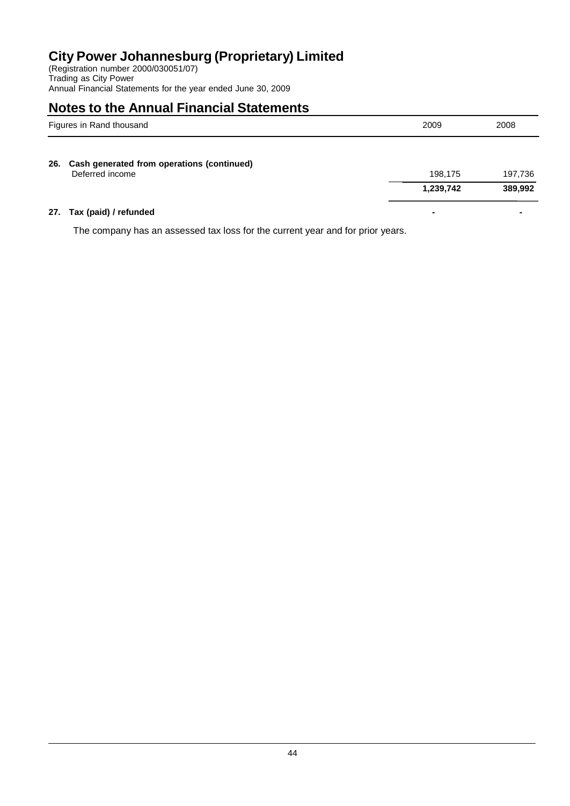(Registration number 2000/030051/07) Trading as City Power Annual Financial Statements for the year ended June 30, 2009

# **Notes to the Annual Financial Statements**

| Figures in Rand thousand |                                                               | 2009      | 2008    |
|--------------------------|---------------------------------------------------------------|-----------|---------|
| 26.                      | Cash generated from operations (continued)<br>Deferred income | 198,175   | 197,736 |
|                          |                                                               | 1,239,742 | 389,992 |

### **27. Tax (paid) / refunded - -**

The company has an assessed tax loss for the current year and for prior years.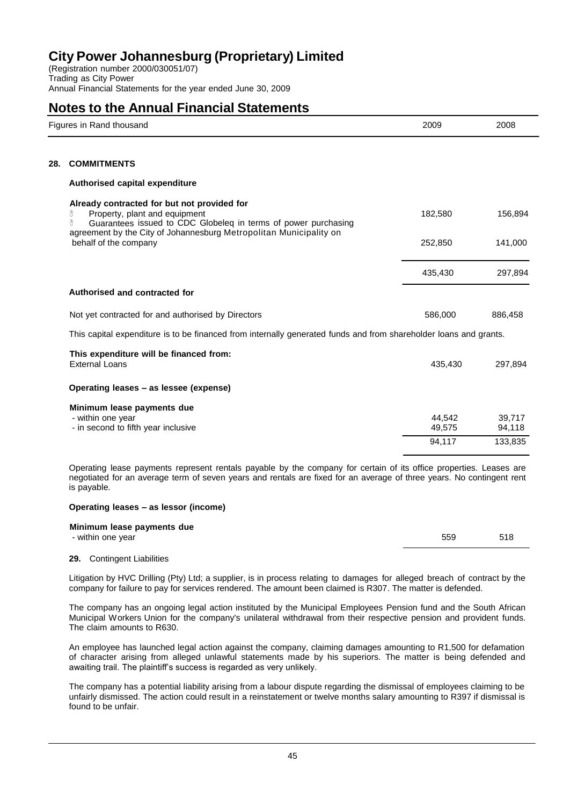(Registration number 2000/030051/07) Trading as City Power Annual Financial Statements for the year ended June 30, 2009

### **Notes to the Annual Financial Statements**

|     | Figures in Rand thousand                                                                                                                                                                                                       |                  | 2008             |
|-----|--------------------------------------------------------------------------------------------------------------------------------------------------------------------------------------------------------------------------------|------------------|------------------|
|     |                                                                                                                                                                                                                                |                  |                  |
| 28. | <b>COMMITMENTS</b>                                                                                                                                                                                                             |                  |                  |
|     | Authorised capital expenditure                                                                                                                                                                                                 |                  |                  |
|     | Already contracted for but not provided for<br>Property, plant and equipment<br>O<br>Guarantees issued to CDC Globeleq in terms of power purchasing<br>ᠿ<br>agreement by the City of Johannesburg Metropolitan Municipality on | 182,580          | 156,894          |
|     | behalf of the company                                                                                                                                                                                                          | 252,850          | 141,000          |
|     |                                                                                                                                                                                                                                | 435,430          | 297,894          |
|     | Authorised and contracted for                                                                                                                                                                                                  |                  |                  |
|     | Not yet contracted for and authorised by Directors                                                                                                                                                                             | 586,000          | 886,458          |
|     | This capital expenditure is to be financed from internally generated funds and from shareholder loans and grants.                                                                                                              |                  |                  |
|     | This expenditure will be financed from:<br><b>External Loans</b>                                                                                                                                                               | 435,430          | 297,894          |
|     | Operating leases - as lessee (expense)                                                                                                                                                                                         |                  |                  |
|     | Minimum lease payments due<br>- within one year<br>- in second to fifth year inclusive                                                                                                                                         | 44,542<br>49,575 | 39,717<br>94,118 |
|     |                                                                                                                                                                                                                                | 94,117           | 133,835          |
|     |                                                                                                                                                                                                                                |                  |                  |

Operating lease payments represent rentals payable by the company for certain of its office properties. Leases are negotiated for an average term of seven years and rentals are fixed for an average of three years. No contingent rent is payable.

### **Operating leases – as lessor (income)**

| Minimum lease payments due |     |     |
|----------------------------|-----|-----|
| - within one year          | 559 | 518 |
|                            |     |     |

### **29.** Contingent Liabilities

Litigation by HVC Drilling (Pty) Ltd; a supplier, is in process relating to damages for alleged breach of contract by the company for failure to pay for services rendered. The amount been claimed is R307. The matter is defended.

The company has an ongoing legal action instituted by the Municipal Employees Pension fund and the South African Municipal Workers Union for the company's unilateral withdrawal from their respective pension and provident funds. The claim amounts to R630.

An employee has launched legal action against the company, claiming damages amounting to R1,500 for defamation of character arising from alleged unlawful statements made by his superiors. The matter is being defended and awaiting trail. The plaintiff's success is regarded as very unlikely.

The company has a potential liability arising from a labour dispute regarding the dismissal of employees claiming to be unfairly dismissed. The action could result in a reinstatement or twelve months salary amounting to R397 if dismissal is found to be unfair.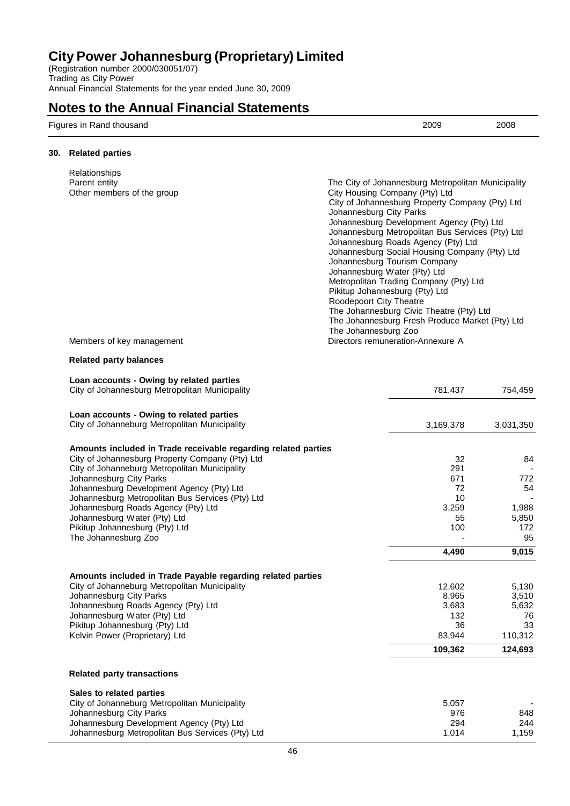(Registration number 2000/030051/07) Trading as City Power Annual Financial Statements for the year ended June 30, 2009

### **Notes to the Annual Financial Statements**

| Figures in Rand thousand<br>. | 2009<br>. | 2008 |
|-------------------------------|-----------|------|
|-------------------------------|-----------|------|

### **30. Related parties**

| Relationships<br>Parent entity<br>Other members of the group<br>Members of key management                                                                                                                                                                                                                                                                                                                                       | The City of Johannesburg Metropolitan Municipality<br>City Housing Company (Pty) Ltd<br>City of Johannesburg Property Company (Pty) Ltd<br>Johannesburg City Parks<br>Johannesburg Development Agency (Pty) Ltd<br>Johannesburg Metropolitan Bus Services (Pty) Ltd<br>Johannesburg Roads Agency (Pty) Ltd<br>Johannesburg Social Housing Company (Pty) Ltd<br>Johannesburg Tourism Company<br>Johannesburg Water (Pty) Ltd<br>Metropolitan Trading Company (Pty) Ltd<br>Pikitup Johannesburg (Pty) Ltd<br>Roodepoort City Theatre<br>The Johannesburg Civic Theatre (Pty) Ltd<br>The Johannesburg Fresh Produce Market (Pty) Ltd<br>The Johannesburg Zoo<br>Directors remuneration-Annexure A |                                                             |                                                         |
|---------------------------------------------------------------------------------------------------------------------------------------------------------------------------------------------------------------------------------------------------------------------------------------------------------------------------------------------------------------------------------------------------------------------------------|------------------------------------------------------------------------------------------------------------------------------------------------------------------------------------------------------------------------------------------------------------------------------------------------------------------------------------------------------------------------------------------------------------------------------------------------------------------------------------------------------------------------------------------------------------------------------------------------------------------------------------------------------------------------------------------------|-------------------------------------------------------------|---------------------------------------------------------|
| <b>Related party balances</b>                                                                                                                                                                                                                                                                                                                                                                                                   |                                                                                                                                                                                                                                                                                                                                                                                                                                                                                                                                                                                                                                                                                                |                                                             |                                                         |
| Loan accounts - Owing by related parties<br>City of Johannesburg Metropolitan Municipality                                                                                                                                                                                                                                                                                                                                      |                                                                                                                                                                                                                                                                                                                                                                                                                                                                                                                                                                                                                                                                                                | 781,437                                                     | 754,459                                                 |
| Loan accounts - Owing to related parties<br>City of Johanneburg Metropolitan Municipality                                                                                                                                                                                                                                                                                                                                       |                                                                                                                                                                                                                                                                                                                                                                                                                                                                                                                                                                                                                                                                                                | 3,169,378                                                   | 3,031,350                                               |
| Amounts included in Trade receivable regarding related parties<br>City of Johannesburg Property Company (Pty) Ltd<br>City of Johanneburg Metropolitan Municipality<br>Johannesburg City Parks<br>Johannesburg Development Agency (Pty) Ltd<br>Johannesburg Metropolitan Bus Services (Pty) Ltd<br>Johannesburg Roads Agency (Pty) Ltd<br>Johannesburg Water (Pty) Ltd<br>Pikitup Johannesburg (Pty) Ltd<br>The Johannesburg Zoo |                                                                                                                                                                                                                                                                                                                                                                                                                                                                                                                                                                                                                                                                                                | 32<br>291<br>671<br>72<br>10<br>3,259<br>55<br>100<br>4,490 | 84<br>772<br>54<br>1,988<br>5,850<br>172<br>95<br>9,015 |
| Amounts included in Trade Payable regarding related parties<br>City of Johanneburg Metropolitan Municipality<br>Johannesburg City Parks<br>Johannesburg Roads Agency (Pty) Ltd<br>Johannesburg Water (Pty) Ltd<br>Pikitup Johannesburg (Pty) Ltd<br>Kelvin Power (Proprietary) Ltd                                                                                                                                              |                                                                                                                                                                                                                                                                                                                                                                                                                                                                                                                                                                                                                                                                                                | 12,602<br>8,965<br>3,683<br>132<br>36<br>83,944             | 5,130<br>3,510<br>5,632<br>76<br>33<br>110,312          |

#### **Related party transactions**

| Sales to related parties                         |       |        |
|--------------------------------------------------|-------|--------|
| City of Johanneburg Metropolitan Municipality    | 5.057 | $\sim$ |
| Johannesburg City Parks                          | 976   | 848    |
| Johannesburg Development Agency (Pty) Ltd        | 294   | 244    |
| Johannesburg Metropolitan Bus Services (Pty) Ltd | 1.014 | 1.159  |

**109,362 124,693**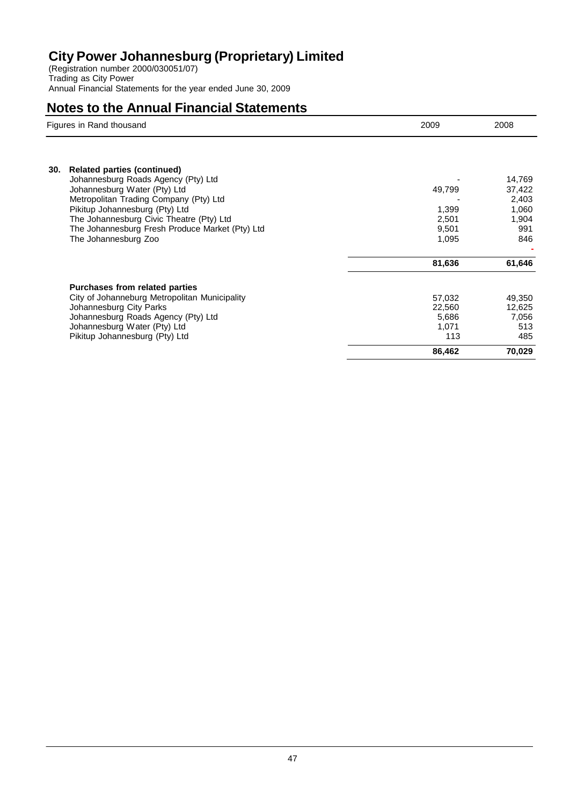(Registration number 2000/030051/07) Trading as City Power Annual Financial Statements for the year ended June 30, 2009

|     | Figures in Rand thousand                                                                                                                                                                                                                                                                                     | 2009                                                | 2008                                                      |
|-----|--------------------------------------------------------------------------------------------------------------------------------------------------------------------------------------------------------------------------------------------------------------------------------------------------------------|-----------------------------------------------------|-----------------------------------------------------------|
| 30. | <b>Related parties (continued)</b><br>Johannesburg Roads Agency (Pty) Ltd<br>Johannesburg Water (Pty) Ltd<br>Metropolitan Trading Company (Pty) Ltd<br>Pikitup Johannesburg (Pty) Ltd<br>The Johannesburg Civic Theatre (Pty) Ltd<br>The Johannesburg Fresh Produce Market (Pty) Ltd<br>The Johannesburg Zoo | 49,799<br>1,399<br>2,501<br>9,501<br>1,095          | 14,769<br>37,422<br>2,403<br>1,060<br>1,904<br>991<br>846 |
|     |                                                                                                                                                                                                                                                                                                              | 81,636                                              | 61,646                                                    |
|     | <b>Purchases from related parties</b><br>City of Johanneburg Metropolitan Municipality<br>Johannesburg City Parks<br>Johannesburg Roads Agency (Pty) Ltd<br>Johannesburg Water (Pty) Ltd<br>Pikitup Johannesburg (Pty) Ltd                                                                                   | 57,032<br>22,560<br>5,686<br>1,071<br>113<br>86,462 | 49,350<br>12,625<br>7,056<br>513<br>485<br>70,029         |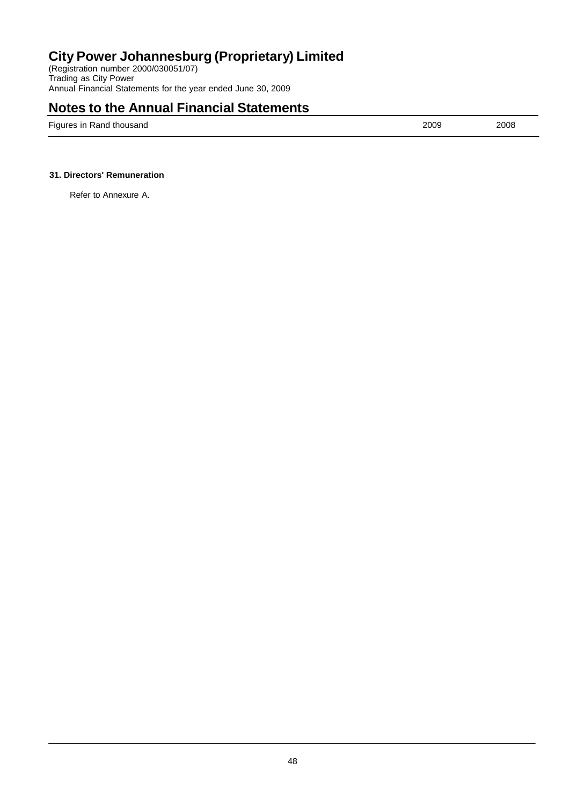(Registration number 2000/030051/07) Trading as City Power Annual Financial Statements for the year ended June 30, 2009

### **Notes to the Annual Financial Statements**

Figures in Rand thousand 2008 2009 2008

### **31. Directors' Remuneration**

Refer to Annexure A.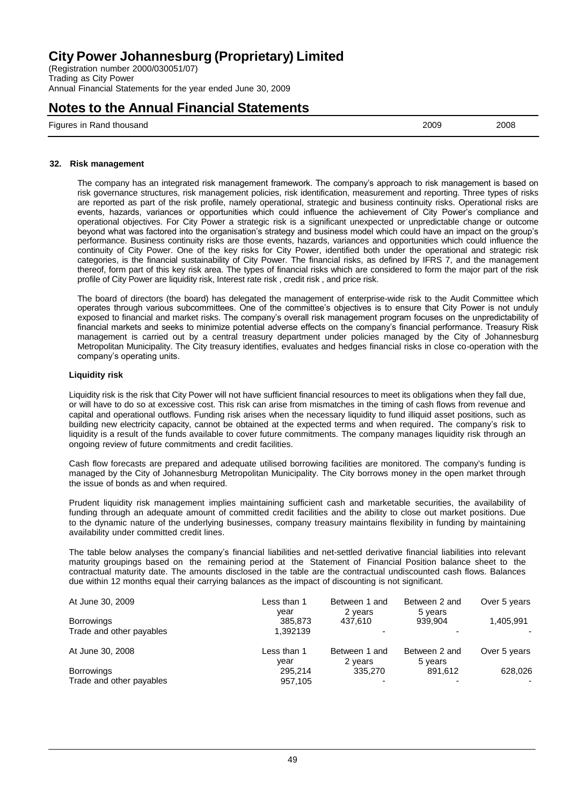(Registration number 2000/030051/07) Trading as City Power Annual Financial Statements for the year ended June 30, 2009

### **Notes to the Annual Financial Statements**

Figures in Rand thousand 2009 2008

**32. Risk management**

The company has an integrated risk management framework. The company's approach to risk management is based on risk governance structures, risk management policies, risk identification, measurement and reporting. Three types of risks are reported as part of the risk profile, namely operational, strategic and business continuity risks. Operational risks are events, hazards, variances or opportunities which could influence the achievement of City Power's compliance and operational objectives. For City Power a strategic risk is a significant unexpected or unpredictable change or outcome beyond what was factored into the organisation's strategy and business model which could have an impact on the group's performance. Business continuity risks are those events, hazards, variances and opportunities which could influence the continuity of City Power. One of the key risks for City Power, identified both under the operational and strategic risk categories, is the financial sustainability of City Power. The financial risks, as defined by IFRS 7, and the management thereof, form part of this key risk area. The types of financial risks which are considered to form the major part of the risk profile of City Power are liquidity risk, Interest rate risk , credit risk , and price risk.

The board of directors (the board) has delegated the management of enterprise-wide risk to the Audit Committee which operates through various subcommittees. One of the committee's objectives is to ensure that City Power is not unduly exposed to financial and market risks. The company's overall risk management program focuses on the unpredictability of financial markets and seeks to minimize potential adverse effects on the company's financial performance. Treasury Risk management is carried out by a central treasury department under policies managed by the City of Johannesburg Metropolitan Municipality. The City treasury identifies, evaluates and hedges financial risks in close co-operation with the company's operating units.

### **Liquidity risk**

Liquidity risk is the risk that City Power will not have sufficient financial resources to meet its obligations when they fall due, or will have to do so at excessive cost. This risk can arise from mismatches in the timing of cash flows from revenue and capital and operational outflows. Funding risk arises when the necessary liquidity to fund illiquid asset positions, such as building new electricity capacity, cannot be obtained at the expected terms and when required. The company's risk to liquidity is a result of the funds available to cover future commitments. The company manages liquidity risk through an ongoing review of future commitments and credit facilities.

Cash flow forecasts are prepared and adequate utilised borrowing facilities are monitored. The company's funding is managed by the City of Johannesburg Metropolitan Municipality. The City borrows money in the open market through the issue of bonds as and when required.

Prudent liquidity risk management implies maintaining sufficient cash and marketable securities, the availability of funding through an adequate amount of committed credit facilities and the ability to close out market positions. Due to the dynamic nature of the underlying businesses, company treasury maintains flexibility in funding by maintaining availability under committed credit lines.

The table below analyses the company's financial liabilities and net-settled derivative financial liabilities into relevant maturity groupings based on the remaining period at the Statement of Financial Position balance sheet to the contractual maturity date. The amounts disclosed in the table are the contractual undiscounted cash flows. Balances due within 12 months equal their carrying balances as the impact of discounting is not significant.

| At June 30, 2009         | Less than 1     | Between 1 and      | Between 2 and      | Over 5 years |
|--------------------------|-----------------|--------------------|--------------------|--------------|
| <b>Borrowings</b>        | vear<br>385.873 | 2 years<br>437.610 | 5 years<br>939.904 | 1.405.991    |
| Trade and other payables | 1.392139        |                    |                    |              |
| At June 30, 2008         | Less than 1     | Between 1 and      | Between 2 and      | Over 5 years |
|                          | vear            | 2 years            | 5 years            |              |
| <b>Borrowings</b>        | 295.214         | 335,270            | 891.612            | 628,026      |
| Trade and other payables | 957,105         |                    | $\overline{a}$     | ۰            |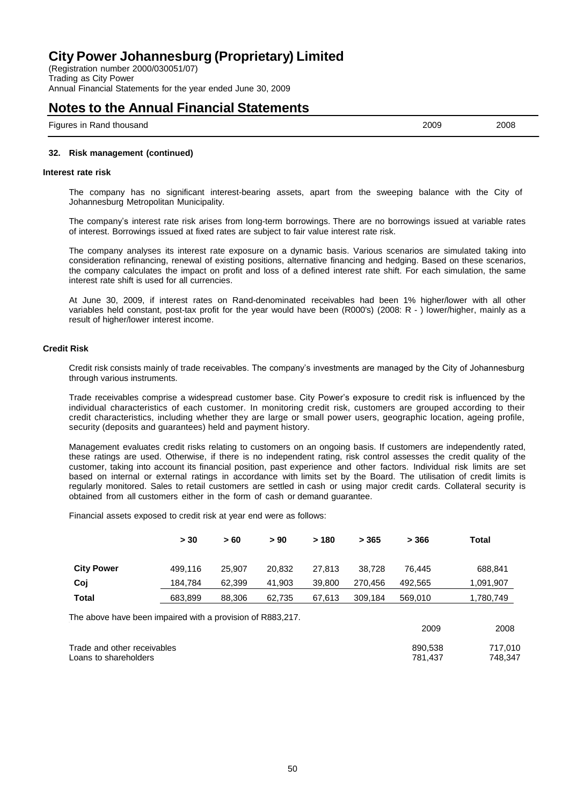(Registration number 2000/030051/07) Trading as City Power Annual Financial Statements for the year ended June 30, 2009

### **Notes to the Annual Financial Statements**

Figures in Rand thousand 2009 2008

#### **32. Risk management (continued)**

#### **Interest rate risk**

The company has no significant interest-bearing assets, apart from the sweeping balance with the City of Johannesburg Metropolitan Municipality.

The company's interest rate risk arises from long-term borrowings. There are no borrowings issued at variable rates of interest. Borrowings issued at fixed rates are subject to fair value interest rate risk.

The company analyses its interest rate exposure on a dynamic basis. Various scenarios are simulated taking into consideration refinancing, renewal of existing positions, alternative financing and hedging. Based on these scenarios, the company calculates the impact on profit and loss of a defined interest rate shift. For each simulation, the same interest rate shift is used for all currencies.

At June 30, 2009, if interest rates on Rand-denominated receivables had been 1% higher/lower with all other variables held constant, post-tax profit for the year would have been (R000's) (2008: R - ) lower/higher, mainly as a result of higher/lower interest income.

#### **Credit Risk**

Credit risk consists mainly of trade receivables. The company's investments are managed by the City of Johannesburg through various instruments.

Trade receivables comprise a widespread customer base. City Power's exposure to credit risk is influenced by the individual characteristics of each customer. In monitoring credit risk, customers are grouped according to their credit characteristics, including whether they are large or small power users, geographic location, ageing profile, security (deposits and guarantees) held and payment history.

Management evaluates credit risks relating to customers on an ongoing basis. If customers are independently rated, these ratings are used. Otherwise, if there is no independent rating, risk control assesses the credit quality of the customer, taking into account its financial position, past experience and other factors. Individual risk limits are set based on internal or external ratings in accordance with limits set by the Board. The utilisation of credit limits is regularly monitored. Sales to retail customers are settled in cash or using major credit cards. Collateral security is obtained from all customers either in the form of cash or demand guarantee.

Financial assets exposed to credit risk at year end were as follows:

|                                                            | > 30    | >60    | > 90   | >180   | > 365   | > 366   | <b>Total</b> |
|------------------------------------------------------------|---------|--------|--------|--------|---------|---------|--------------|
| <b>City Power</b>                                          | 499.116 | 25,907 | 20.832 | 27.813 | 38.728  | 76.445  | 688,841      |
| Coj                                                        | 184,784 | 62,399 | 41,903 | 39,800 | 270.456 | 492,565 | 1,091,907    |
| <b>Total</b>                                               | 683.899 | 88,306 | 62.735 | 67,613 | 309,184 | 569,010 | 1,780,749    |
| The above have been impaired with a provision of R883,217. |         |        |        |        |         |         |              |
|                                                            |         |        |        |        |         | 2009    | 2008         |
| Trade and other receivables                                |         |        |        |        |         | 890,538 | 717,010      |
| Loans to shareholders                                      |         |        |        |        |         | 781,437 | 748,347      |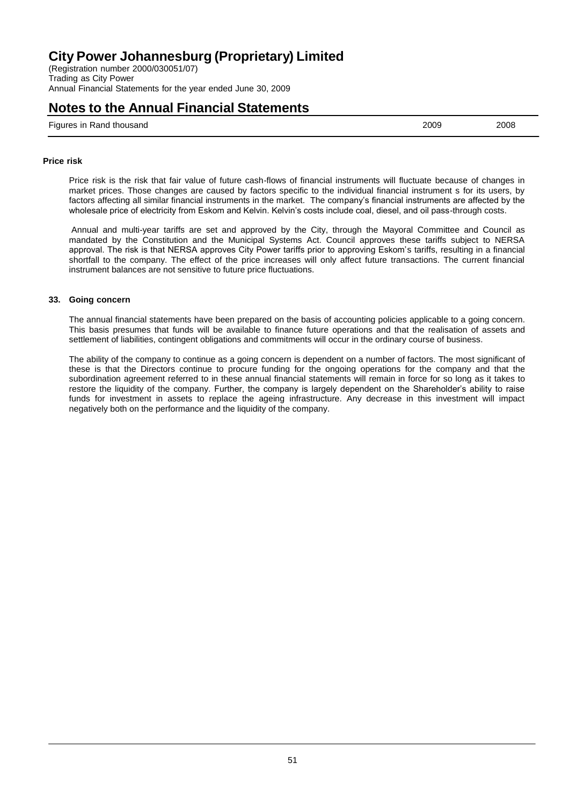(Registration number 2000/030051/07) Trading as City Power Annual Financial Statements for the year ended June 30, 2009

### **Notes to the Annual Financial Statements**

Figures in Rand thousand 2009 2008

#### **Price risk**

Price risk is the risk that fair value of future cash-flows of financial instruments will fluctuate because of changes in market prices. Those changes are caused by factors specific to the individual financial instrument s for its users, by factors affecting all similar financial instruments in the market. The company's financial instruments are affected by the wholesale price of electricity from Eskom and Kelvin. Kelvin's costs include coal, diesel, and oil pass-through costs.

Annual and multi-year tariffs are set and approved by the City, through the Mayoral Committee and Council as mandated by the Constitution and the Municipal Systems Act. Council approves these tariffs subject to NERSA approval. The risk is that NERSA approves City Power tariffs prior to approving Eskom's tariffs, resulting in a financial shortfall to the company. The effect of the price increases will only affect future transactions. The current financial instrument balances are not sensitive to future price fluctuations.

### **33. Going concern**

The annual financial statements have been prepared on the basis of accounting policies applicable to a going concern. This basis presumes that funds will be available to finance future operations and that the realisation of assets and settlement of liabilities, contingent obligations and commitments will occur in the ordinary course of business.

The ability of the company to continue as a going concern is dependent on a number of factors. The most significant of these is that the Directors continue to procure funding for the ongoing operations for the company and that the subordination agreement referred to in these annual financial statements will remain in force for so long as it takes to restore the liquidity of the company. Further, the company is largely dependent on the Shareholder's ability to raise funds for investment in assets to replace the ageing infrastructure. Any decrease in this investment will impact negatively both on the performance and the liquidity of the company.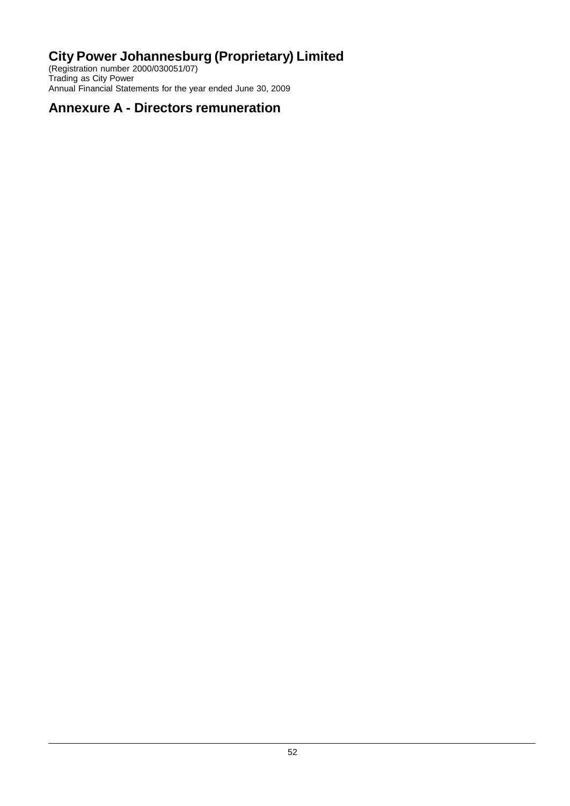(Registration number 2000/030051/07) Trading as City Power Annual Financial Statements for the year ended June 30, 2009

# **Annexure A - Directors remuneration**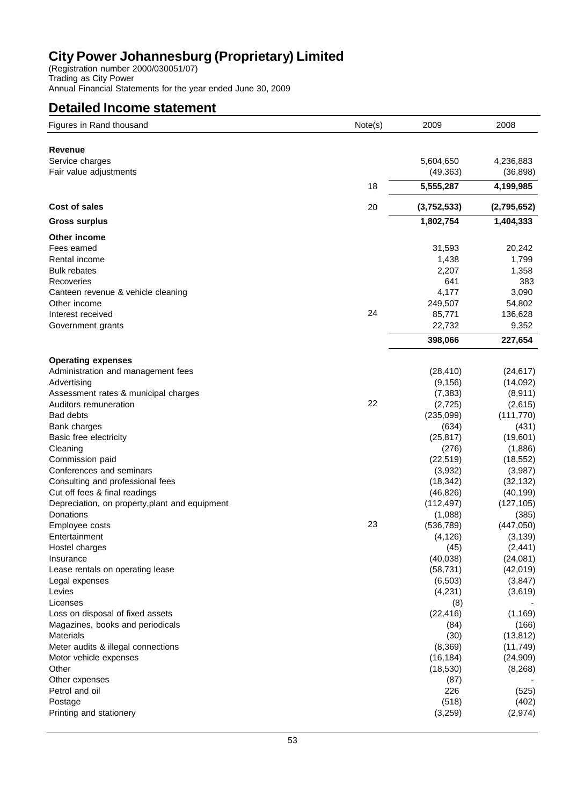(Registration number 2000/030051/07) Trading as City Power Annual Financial Statements for the year ended June 30, 2009

### **Detailed Income statement**

| Figures in Rand thousand                       | Note(s) | 2009        | 2008        |
|------------------------------------------------|---------|-------------|-------------|
| Revenue                                        |         |             |             |
| Service charges                                |         | 5,604,650   | 4,236,883   |
| Fair value adjustments                         |         | (49, 363)   | (36, 898)   |
|                                                | 18      |             |             |
|                                                |         | 5,555,287   | 4,199,985   |
| Cost of sales                                  | 20      | (3,752,533) | (2,795,652) |
| <b>Gross surplus</b>                           |         | 1,802,754   | 1,404,333   |
| Other income                                   |         |             |             |
| Fees earned                                    |         | 31,593      | 20,242      |
| Rental income                                  |         | 1,438       | 1,799       |
| <b>Bulk rebates</b>                            |         | 2,207       | 1,358       |
| Recoveries                                     |         | 641         | 383         |
| Canteen revenue & vehicle cleaning             |         | 4,177       | 3,090       |
| Other income                                   |         | 249,507     | 54,802      |
| Interest received                              | 24      | 85,771      | 136,628     |
| Government grants                              |         | 22,732      | 9,352       |
|                                                |         | 398,066     | 227,654     |
| <b>Operating expenses</b>                      |         |             |             |
| Administration and management fees             |         | (28, 410)   | (24, 617)   |
| Advertising                                    |         | (9, 156)    | (14,092)    |
| Assessment rates & municipal charges           |         | (7, 383)    | (8,911)     |
| Auditors remuneration                          | 22      | (2, 725)    | (2,615)     |
| <b>Bad debts</b>                               |         | (235,099)   | (111, 770)  |
| Bank charges                                   |         | (634)       | (431)       |
| Basic free electricity                         |         | (25, 817)   | (19,601)    |
| Cleaning                                       |         | (276)       | (1,886)     |
| Commission paid                                |         | (22, 519)   | (18, 552)   |
| Conferences and seminars                       |         | (3,932)     | (3,987)     |
| Consulting and professional fees               |         | (18, 342)   | (32, 132)   |
| Cut off fees & final readings                  |         | (46, 826)   | (40, 199)   |
| Depreciation, on property, plant and equipment |         | (112, 497)  | (127, 105)  |
| Donations                                      |         | (1,088)     | (385)       |
| Employee costs                                 | 23      | (536, 789)  | (447,050)   |
| Entertainment                                  |         | (4, 126)    | (3, 139)    |
| Hostel charges                                 |         | (45)        | (2, 441)    |
| Insurance                                      |         | (40, 038)   | (24,081)    |
| Lease rentals on operating lease               |         | (58, 731)   | (42, 019)   |
| Legal expenses                                 |         | (6, 503)    | (3, 847)    |
| Levies                                         |         | (4,231)     | (3,619)     |
| Licenses                                       |         | (8)         |             |
| Loss on disposal of fixed assets               |         | (22, 416)   | (1, 169)    |
| Magazines, books and periodicals               |         | (84)        | (166)       |
| <b>Materials</b>                               |         | (30)        | (13, 812)   |
| Meter audits & illegal connections             |         | (8,369)     | (11, 749)   |
| Motor vehicle expenses                         |         | (16, 184)   | (24, 909)   |
| Other                                          |         | (18, 530)   | (8,268)     |
| Other expenses                                 |         | (87)        |             |
| Petrol and oil                                 |         | 226         | (525)       |
| Postage                                        |         | (518)       | (402)       |
| Printing and stationery                        |         | (3,259)     | (2, 974)    |
|                                                |         |             |             |